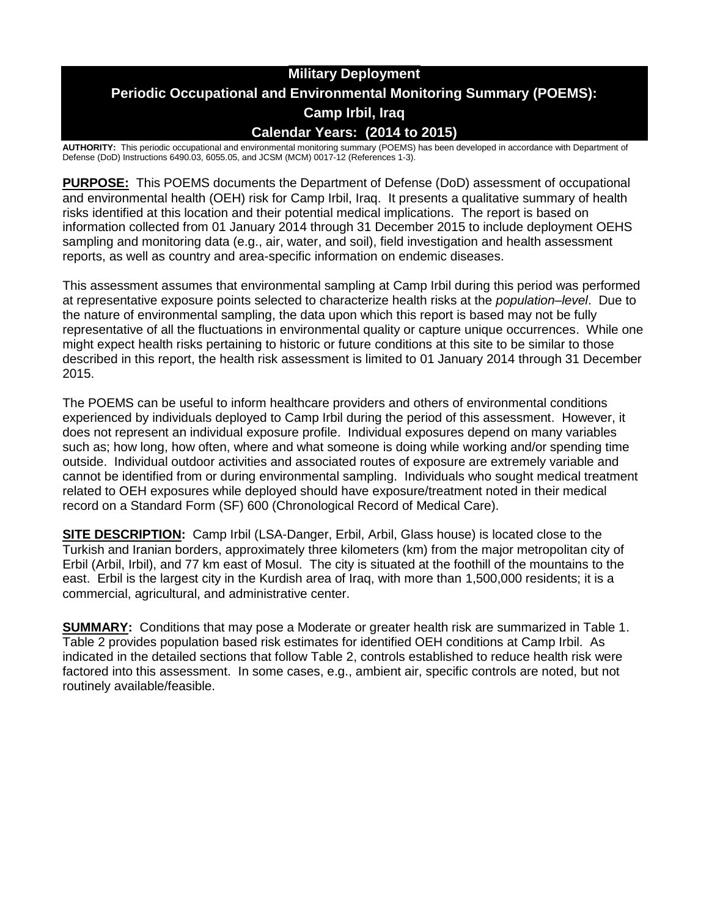# **Military Deployment Periodic Occupational and Environmental Monitoring Summary (POEMS): Camp Irbil, Iraq Calendar Years: (2014 to 2015)**

**AUTHORITY:** This periodic occupational and environmental monitoring summary (POEMS) has been developed in accordance with Department of Defense (DoD) Instructions 6490.03, 6055.05, and JCSM (MCM) 0017-12 (References 1-3).

**PURPOSE:** This POEMS documents the Department of Defense (DoD) assessment of occupational and environmental health (OEH) risk for Camp Irbil, Iraq. It presents a qualitative summary of health risks identified at this location and their potential medical implications. The report is based on information collected from 01 January 2014 through 31 December 2015 to include deployment OEHS sampling and monitoring data (e.g., air, water, and soil), field investigation and health assessment reports, as well as country and area-specific information on endemic diseases.

This assessment assumes that environmental sampling at Camp Irbil during this period was performed at representative exposure points selected to characterize health risks at the *population–level*. Due to the nature of environmental sampling, the data upon which this report is based may not be fully representative of all the fluctuations in environmental quality or capture unique occurrences. While one might expect health risks pertaining to historic or future conditions at this site to be similar to those described in this report, the health risk assessment is limited to 01 January 2014 through 31 December 2015.

The POEMS can be useful to inform healthcare providers and others of environmental conditions experienced by individuals deployed to Camp Irbil during the period of this assessment. However, it does not represent an individual exposure profile. Individual exposures depend on many variables such as; how long, how often, where and what someone is doing while working and/or spending time outside. Individual outdoor activities and associated routes of exposure are extremely variable and cannot be identified from or during environmental sampling. Individuals who sought medical treatment related to OEH exposures while deployed should have exposure/treatment noted in their medical record on a Standard Form (SF) 600 (Chronological Record of Medical Care).

**SITE DESCRIPTION:** Camp Irbil (LSA-Danger, Erbil, Arbil, Glass house) is located close to the Turkish and Iranian borders, approximately three kilometers (km) from the major metropolitan city of Erbil (Arbil, Irbil), and 77 km east of Mosul. The city is situated at the foothill of the mountains to the east. Erbil is the largest city in the Kurdish area of Iraq, with more than 1,500,000 residents; it is a commercial, agricultural, and administrative center.

**SUMMARY:** Conditions that may pose a Moderate or greater health risk are summarized in Table 1. Table 2 provides population based risk estimates for identified OEH conditions at Camp Irbil. As indicated in the detailed sections that follow Table 2, controls established to reduce health risk were factored into this assessment. In some cases, e.g., ambient air, specific controls are noted, but not routinely available/feasible.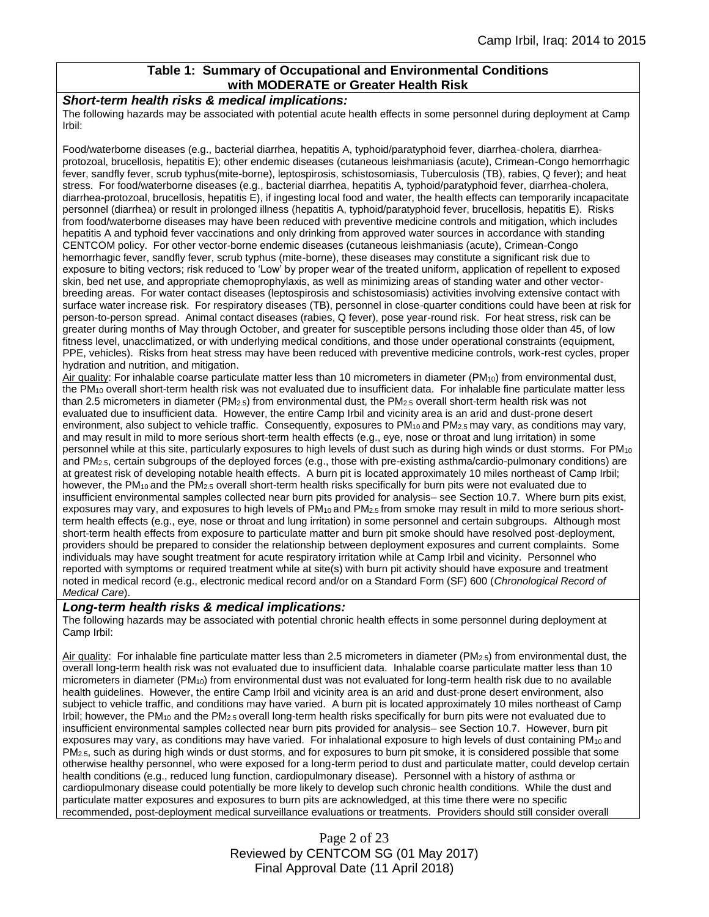## **Table 1: Summary of Occupational and Environmental Conditions with MODERATE or Greater Health Risk**

#### *Short-term health risks & medical implications:*

The following hazards may be associated with potential acute health effects in some personnel during deployment at Camp Irbil:

Food/waterborne diseases (e.g., bacterial diarrhea, hepatitis A, typhoid/paratyphoid fever, diarrhea-cholera, diarrheaprotozoal, brucellosis, hepatitis E); other endemic diseases (cutaneous leishmaniasis (acute), Crimean-Congo hemorrhagic fever, sandfly fever, scrub typhus(mite-borne), leptospirosis, schistosomiasis, Tuberculosis (TB), rabies, Q fever); and heat stress. For food/waterborne diseases (e.g., bacterial diarrhea, hepatitis A, typhoid/paratyphoid fever, diarrhea-cholera, diarrhea-protozoal, brucellosis, hepatitis E), if ingesting local food and water, the health effects can temporarily incapacitate personnel (diarrhea) or result in prolonged illness (hepatitis A, typhoid/paratyphoid fever, brucellosis, hepatitis E). Risks from food/waterborne diseases may have been reduced with preventive medicine controls and mitigation, which includes hepatitis A and typhoid fever vaccinations and only drinking from approved water sources in accordance with standing CENTCOM policy. For other vector-borne endemic diseases (cutaneous leishmaniasis (acute), Crimean-Congo hemorrhagic fever, sandfly fever, scrub typhus (mite-borne), these diseases may constitute a significant risk due to exposure to biting vectors; risk reduced to 'Low' by proper wear of the treated uniform, application of repellent to exposed skin, bed net use, and appropriate chemoprophylaxis, as well as minimizing areas of standing water and other vectorbreeding areas. For water contact diseases (leptospirosis and schistosomiasis) activities involving extensive contact with surface water increase risk. For respiratory diseases (TB), personnel in close-quarter conditions could have been at risk for person-to-person spread. Animal contact diseases (rabies, Q fever), pose year-round risk. For heat stress, risk can be greater during months of May through October, and greater for susceptible persons including those older than 45, of low fitness level, unacclimatized, or with underlying medical conditions, and those under operational constraints (equipment, PPE, vehicles). Risks from heat stress may have been reduced with preventive medicine controls, work-rest cycles, proper hydration and nutrition, and mitigation.

Air quality: For inhalable coarse particulate matter less than 10 micrometers in diameter (PM<sub>10</sub>) from environmental dust, the PM<sup>10</sup> overall short-term health risk was not evaluated due to insufficient data. For inhalable fine particulate matter less than 2.5 micrometers in diameter (PM<sub>2.5</sub>) from environmental dust, the PM<sub>2.5</sub> overall short-term health risk was not evaluated due to insufficient data. However, the entire Camp Irbil and vicinity area is an arid and dust-prone desert environment, also subject to vehicle traffic. Consequently, exposures to PM<sub>10</sub> and PM<sub>2.5</sub> may vary, as conditions may vary, and may result in mild to more serious short-term health effects (e.g., eye, nose or throat and lung irritation) in some personnel while at this site, particularly exposures to high levels of dust such as during high winds or dust storms. For PM<sup>10</sup> and PM2.5, certain subgroups of the deployed forces (e.g., those with pre-existing asthma/cardio-pulmonary conditions) are at greatest risk of developing notable health effects. A burn pit is located approximately 10 miles northeast of Camp Irbil; however, the PM<sub>10</sub> and the PM<sub>2.5</sub> overall short-term health risks specifically for burn pits were not evaluated due to insufficient environmental samples collected near burn pits provided for analysis– see Section 10.7. Where burn pits exist, exposures may vary, and exposures to high levels of  $PM_{10}$  and  $PM_{2.5}$  from smoke may result in mild to more serious shortterm health effects (e.g., eye, nose or throat and lung irritation) in some personnel and certain subgroups. Although most short-term health effects from exposure to particulate matter and burn pit smoke should have resolved post-deployment, providers should be prepared to consider the relationship between deployment exposures and current complaints. Some individuals may have sought treatment for acute respiratory irritation while at Camp Irbil and vicinity. Personnel who reported with symptoms or required treatment while at site(s) with burn pit activity should have exposure and treatment noted in medical record (e.g., electronic medical record and/or on a Standard Form (SF) 600 (*Chronological Record of Medical Care*).

#### *Long-term health risks & medical implications:*

The following hazards may be associated with potential chronic health effects in some personnel during deployment at Camp Irbil:

Air quality: For inhalable fine particulate matter less than 2.5 micrometers in diameter ( $PM_{2.5}$ ) from environmental dust, the overall long-term health risk was not evaluated due to insufficient data. Inhalable coarse particulate matter less than 10 micrometers in diameter (PM10) from environmental dust was not evaluated for long-term health risk due to no available health guidelines. However, the entire Camp Irbil and vicinity area is an arid and dust-prone desert environment, also subject to vehicle traffic, and conditions may have varied. A burn pit is located approximately 10 miles northeast of Camp Irbil; however, the PM<sub>10</sub> and the PM<sub>2.5</sub> overall long-term health risks specifically for burn pits were not evaluated due to insufficient environmental samples collected near burn pits provided for analysis– see Section 10.7. However, burn pit exposures may vary, as conditions may have varied. For inhalational exposure to high levels of dust containing  $PM_{10}$  and PM2.5, such as during high winds or dust storms, and for exposures to burn pit smoke, it is considered possible that some otherwise healthy personnel, who were exposed for a long-term period to dust and particulate matter, could develop certain health conditions (e.g., reduced lung function, cardiopulmonary disease). Personnel with a history of asthma or cardiopulmonary disease could potentially be more likely to develop such chronic health conditions. While the dust and particulate matter exposures and exposures to burn pits are acknowledged, at this time there were no specific recommended, post-deployment medical surveillance evaluations or treatments. Providers should still consider overall

> Page 2 of 23 Reviewed by CENTCOM SG (01 May 2017) Final Approval Date (11 April 2018)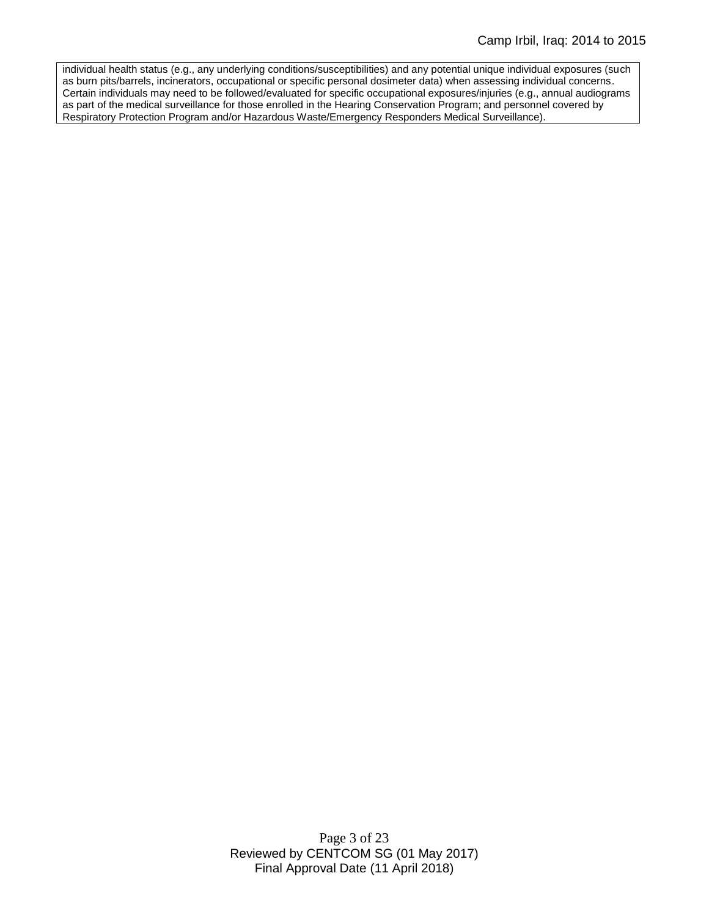individual health status (e.g., any underlying conditions/susceptibilities) and any potential unique individual exposures (such as burn pits/barrels, incinerators, occupational or specific personal dosimeter data) when assessing individual concerns. Certain individuals may need to be followed/evaluated for specific occupational exposures/injuries (e.g., annual audiograms as part of the medical surveillance for those enrolled in the Hearing Conservation Program; and personnel covered by Respiratory Protection Program and/or Hazardous Waste/Emergency Responders Medical Surveillance).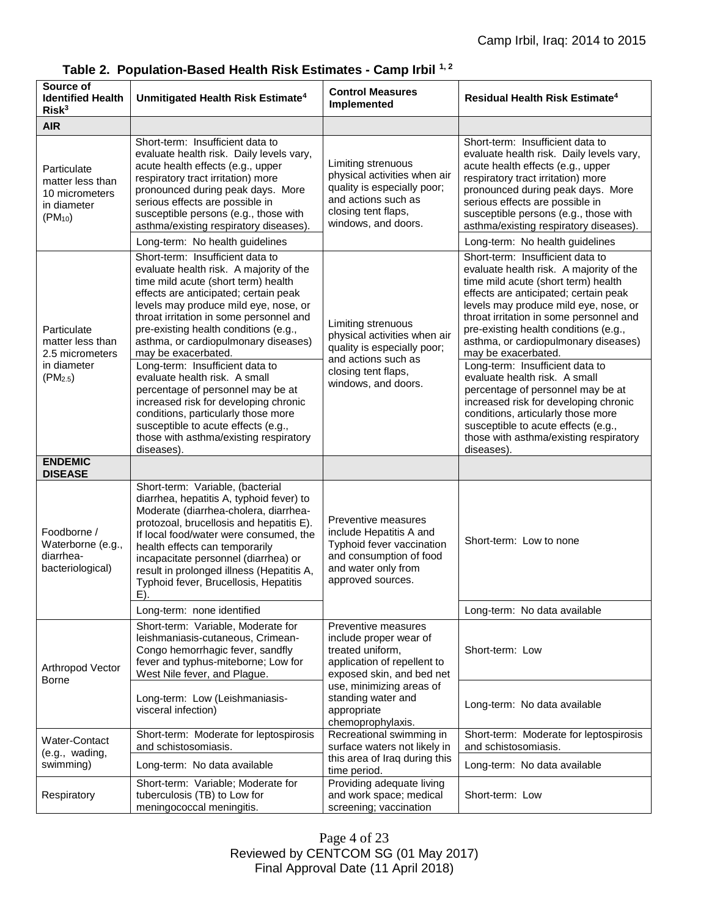| Source of<br><b>Identified Health</b><br>Risk <sup>3</sup>                                | Unmitigated Health Risk Estimate <sup>4</sup>                                                                                                                                                                                                                                                                                                                                              | <b>Control Measures</b><br>Implemented                                                                                                                                                                              | <b>Residual Health Risk Estimate<sup>4</sup></b>                                                                                                                                                                                                                                                                                                                                           |
|-------------------------------------------------------------------------------------------|--------------------------------------------------------------------------------------------------------------------------------------------------------------------------------------------------------------------------------------------------------------------------------------------------------------------------------------------------------------------------------------------|---------------------------------------------------------------------------------------------------------------------------------------------------------------------------------------------------------------------|--------------------------------------------------------------------------------------------------------------------------------------------------------------------------------------------------------------------------------------------------------------------------------------------------------------------------------------------------------------------------------------------|
| <b>AIR</b>                                                                                |                                                                                                                                                                                                                                                                                                                                                                                            |                                                                                                                                                                                                                     |                                                                                                                                                                                                                                                                                                                                                                                            |
| Particulate<br>matter less than<br>10 micrometers<br>in diameter<br>$(PM_{10})$           | Short-term: Insufficient data to<br>evaluate health risk. Daily levels vary,<br>acute health effects (e.g., upper<br>respiratory tract irritation) more<br>pronounced during peak days. More<br>serious effects are possible in<br>susceptible persons (e.g., those with<br>asthma/existing respiratory diseases).                                                                         | Limiting strenuous<br>physical activities when air<br>quality is especially poor;<br>and actions such as<br>closing tent flaps,<br>windows, and doors.                                                              | Short-term: Insufficient data to<br>evaluate health risk. Daily levels vary,<br>acute health effects (e.g., upper<br>respiratory tract irritation) more<br>pronounced during peak days. More<br>serious effects are possible in<br>susceptible persons (e.g., those with<br>asthma/existing respiratory diseases).                                                                         |
|                                                                                           | Long-term: No health guidelines                                                                                                                                                                                                                                                                                                                                                            |                                                                                                                                                                                                                     | Long-term: No health guidelines                                                                                                                                                                                                                                                                                                                                                            |
| Particulate<br>matter less than<br>2.5 micrometers<br>in diameter<br>(PM <sub>2.5</sub> ) | Short-term: Insufficient data to<br>evaluate health risk. A majority of the<br>time mild acute (short term) health<br>effects are anticipated; certain peak<br>levels may produce mild eye, nose, or<br>throat irritation in some personnel and<br>pre-existing health conditions (e.g.,<br>asthma, or cardiopulmonary diseases)<br>may be exacerbated.<br>Long-term: Insufficient data to | Limiting strenuous<br>physical activities when air<br>quality is especially poor;<br>and actions such as<br>closing tent flaps,<br>windows, and doors.                                                              | Short-term: Insufficient data to<br>evaluate health risk. A majority of the<br>time mild acute (short term) health<br>effects are anticipated; certain peak<br>levels may produce mild eye, nose, or<br>throat irritation in some personnel and<br>pre-existing health conditions (e.g.,<br>asthma, or cardiopulmonary diseases)<br>may be exacerbated.<br>Long-term: Insufficient data to |
|                                                                                           | evaluate health risk. A small<br>percentage of personnel may be at<br>increased risk for developing chronic<br>conditions, particularly those more<br>susceptible to acute effects (e.g.,<br>those with asthma/existing respiratory<br>diseases).                                                                                                                                          |                                                                                                                                                                                                                     | evaluate health risk. A small<br>percentage of personnel may be at<br>increased risk for developing chronic<br>conditions, articularly those more<br>susceptible to acute effects (e.g.,<br>those with asthma/existing respiratory<br>diseases).                                                                                                                                           |
| <b>ENDEMIC</b><br><b>DISEASE</b>                                                          |                                                                                                                                                                                                                                                                                                                                                                                            |                                                                                                                                                                                                                     |                                                                                                                                                                                                                                                                                                                                                                                            |
| Foodborne /<br>Waterborne (e.g.,<br>diarrhea-<br>bacteriological)                         | Short-term: Variable, (bacterial<br>diarrhea, hepatitis A, typhoid fever) to<br>Moderate (diarrhea-cholera, diarrhea-<br>protozoal, brucellosis and hepatitis E).<br>If local food/water were consumed, the<br>health effects can temporarily<br>incapacitate personnel (diarrhea) or<br>result in prolonged illness (Hepatitis A,<br>Typhoid fever, Brucellosis, Hepatitis<br>$E$ ).      | Preventive measures<br>include Hepatitis A and<br>Typhoid fever vaccination<br>and consumption of food<br>and water only from<br>approved sources.                                                                  | Short-term: Low to none                                                                                                                                                                                                                                                                                                                                                                    |
|                                                                                           | Long-term: none identified                                                                                                                                                                                                                                                                                                                                                                 |                                                                                                                                                                                                                     | Long-term: No data available                                                                                                                                                                                                                                                                                                                                                               |
| Arthropod Vector<br>Borne                                                                 | Short-term: Variable, Moderate for<br>leishmaniasis-cutaneous, Crimean-<br>Congo hemorrhagic fever, sandfly<br>fever and typhus-miteborne; Low for<br>West Nile fever, and Plague.                                                                                                                                                                                                         | Preventive measures<br>include proper wear of<br>treated uniform.<br>application of repellent to<br>exposed skin, and bed net<br>use, minimizing areas of<br>standing water and<br>appropriate<br>chemoprophylaxis. | Short-term: Low                                                                                                                                                                                                                                                                                                                                                                            |
|                                                                                           | Long-term: Low (Leishmaniasis-<br>visceral infection)                                                                                                                                                                                                                                                                                                                                      |                                                                                                                                                                                                                     | Long-term: No data available                                                                                                                                                                                                                                                                                                                                                               |
| <b>Water-Contact</b><br>(e.g., wading,<br>swimming)                                       | Short-term: Moderate for leptospirosis<br>and schistosomiasis.                                                                                                                                                                                                                                                                                                                             | Recreational swimming in<br>surface waters not likely in                                                                                                                                                            | Short-term: Moderate for leptospirosis<br>and schistosomiasis.                                                                                                                                                                                                                                                                                                                             |
|                                                                                           | Long-term: No data available                                                                                                                                                                                                                                                                                                                                                               | this area of Iraq during this<br>time period.                                                                                                                                                                       | Long-term: No data available                                                                                                                                                                                                                                                                                                                                                               |
| Respiratory                                                                               | Short-term: Variable; Moderate for<br>tuberculosis (TB) to Low for<br>meningococcal meningitis.                                                                                                                                                                                                                                                                                            | Providing adequate living<br>and work space; medical<br>screening; vaccination                                                                                                                                      | Short-term: Low                                                                                                                                                                                                                                                                                                                                                                            |

# **Table 2. Population-Based Health Risk Estimates - Camp Irbil 1, 2**

Page 4 of 23 Reviewed by CENTCOM SG (01 May 2017) Final Approval Date (11 April 2018)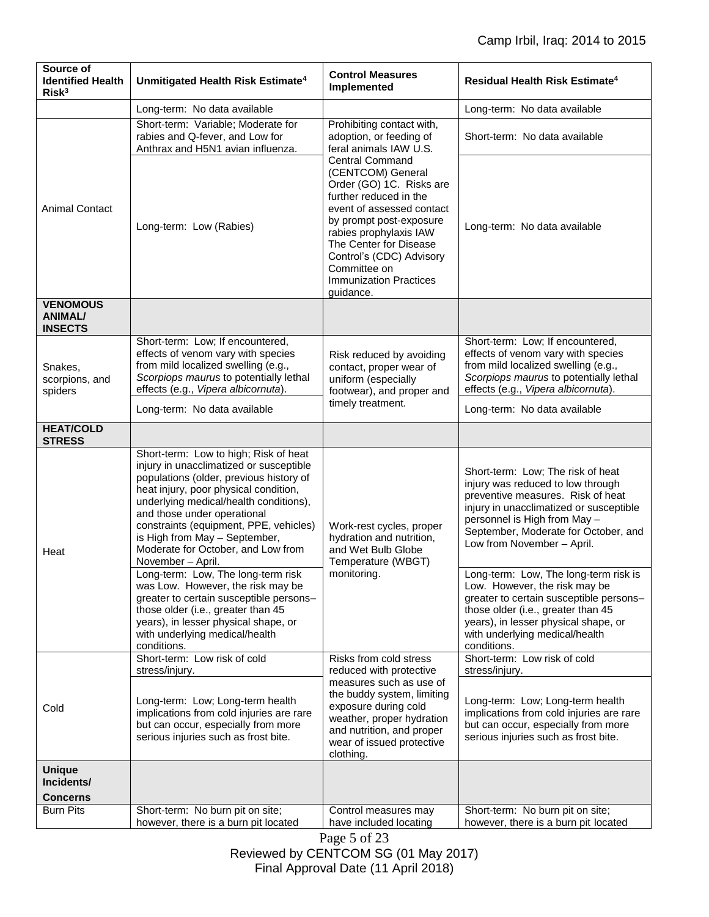| Source of<br><b>Identified Health</b><br>Risk <sup>3</sup> | Unmitigated Health Risk Estimate <sup>4</sup>                                                                                                                                                                                                                                                                                                                                       | <b>Control Measures</b><br>Implemented                                                                                                                                                                                                                                                                                                                                                    | Residual Health Risk Estimate <sup>4</sup>                                                                                                                                                                                                                   |
|------------------------------------------------------------|-------------------------------------------------------------------------------------------------------------------------------------------------------------------------------------------------------------------------------------------------------------------------------------------------------------------------------------------------------------------------------------|-------------------------------------------------------------------------------------------------------------------------------------------------------------------------------------------------------------------------------------------------------------------------------------------------------------------------------------------------------------------------------------------|--------------------------------------------------------------------------------------------------------------------------------------------------------------------------------------------------------------------------------------------------------------|
|                                                            | Long-term: No data available                                                                                                                                                                                                                                                                                                                                                        |                                                                                                                                                                                                                                                                                                                                                                                           | Long-term: No data available                                                                                                                                                                                                                                 |
| <b>Animal Contact</b>                                      | Short-term: Variable; Moderate for<br>rabies and Q-fever, and Low for<br>Anthrax and H5N1 avian influenza.                                                                                                                                                                                                                                                                          | Prohibiting contact with,<br>adoption, or feeding of<br>feral animals IAW U.S.<br><b>Central Command</b><br>(CENTCOM) General<br>Order (GO) 1C. Risks are<br>further reduced in the<br>event of assessed contact<br>by prompt post-exposure<br>rabies prophylaxis IAW<br>The Center for Disease<br>Control's (CDC) Advisory<br>Committee on<br><b>Immunization Practices</b><br>guidance. | Short-term: No data available                                                                                                                                                                                                                                |
|                                                            | Long-term: Low (Rabies)                                                                                                                                                                                                                                                                                                                                                             |                                                                                                                                                                                                                                                                                                                                                                                           | Long-term: No data available                                                                                                                                                                                                                                 |
| <b>VENOMOUS</b><br><b>ANIMAL/</b><br><b>INSECTS</b>        |                                                                                                                                                                                                                                                                                                                                                                                     |                                                                                                                                                                                                                                                                                                                                                                                           |                                                                                                                                                                                                                                                              |
| Snakes,<br>scorpions, and<br>spiders                       | Short-term: Low; If encountered,<br>effects of venom vary with species<br>from mild localized swelling (e.g.,<br>Scorpiops maurus to potentially lethal<br>effects (e.g., Vipera albicornuta).                                                                                                                                                                                      | Risk reduced by avoiding<br>contact, proper wear of<br>uniform (especially<br>footwear), and proper and<br>timely treatment.                                                                                                                                                                                                                                                              | Short-term: Low; If encountered,<br>effects of venom vary with species<br>from mild localized swelling (e.g.,<br>Scorpiops maurus to potentially lethal<br>effects (e.g., Vipera albicornuta).                                                               |
|                                                            | Long-term: No data available                                                                                                                                                                                                                                                                                                                                                        |                                                                                                                                                                                                                                                                                                                                                                                           | Long-term: No data available                                                                                                                                                                                                                                 |
| <b>HEAT/COLD</b><br><b>STRESS</b>                          |                                                                                                                                                                                                                                                                                                                                                                                     |                                                                                                                                                                                                                                                                                                                                                                                           |                                                                                                                                                                                                                                                              |
| Heat                                                       | Short-term: Low to high; Risk of heat<br>injury in unacclimatized or susceptible<br>populations (older, previous history of<br>heat injury, poor physical condition,<br>underlying medical/health conditions),<br>and those under operational<br>constraints (equipment, PPE, vehicles)<br>is High from May - September,<br>Moderate for October, and Low from<br>November - April. | Work-rest cycles, proper<br>hydration and nutrition,<br>and Wet Bulb Globe<br>Temperature (WBGT)<br>monitoring.                                                                                                                                                                                                                                                                           | Short-term: Low; The risk of heat<br>injury was reduced to low through<br>preventive measures. Risk of heat<br>injury in unacclimatized or susceptible<br>personnel is High from May -<br>September, Moderate for October, and<br>Low from November - April. |
|                                                            | Long-term: Low, The long-term risk<br>was Low. However, the risk may be<br>greater to certain susceptible persons-<br>those older (i.e., greater than 45<br>years), in lesser physical shape, or<br>with underlying medical/health<br>conditions.                                                                                                                                   |                                                                                                                                                                                                                                                                                                                                                                                           | Long-term: Low, The long-term risk is<br>Low. However, the risk may be<br>greater to certain susceptible persons-<br>those older (i.e., greater than 45<br>years), in lesser physical shape, or<br>with underlying medical/health<br>conditions.             |
| Cold                                                       | Short-term: Low risk of cold<br>stress/injury.                                                                                                                                                                                                                                                                                                                                      | Risks from cold stress<br>reduced with protective<br>measures such as use of<br>the buddy system, limiting<br>exposure during cold<br>weather, proper hydration<br>and nutrition, and proper<br>wear of issued protective<br>clothing.                                                                                                                                                    | Short-term: Low risk of cold<br>stress/injury.                                                                                                                                                                                                               |
|                                                            | Long-term: Low; Long-term health<br>implications from cold injuries are rare<br>but can occur, especially from more<br>serious injuries such as frost bite.                                                                                                                                                                                                                         |                                                                                                                                                                                                                                                                                                                                                                                           | Long-term: Low; Long-term health<br>implications from cold injuries are rare<br>but can occur, especially from more<br>serious injuries such as frost bite.                                                                                                  |
| <b>Unique</b><br>Incidents/<br><b>Concerns</b>             |                                                                                                                                                                                                                                                                                                                                                                                     |                                                                                                                                                                                                                                                                                                                                                                                           |                                                                                                                                                                                                                                                              |
| <b>Burn Pits</b>                                           | Short-term: No burn pit on site;<br>however, there is a burn pit located                                                                                                                                                                                                                                                                                                            | Control measures may<br>have included locating<br>0.22                                                                                                                                                                                                                                                                                                                                    | Short-term: No burn pit on site;<br>however, there is a burn pit located                                                                                                                                                                                     |

Page 5 of 23 Reviewed by CENTCOM SG (01 May 2017) Final Approval Date (11 April 2018)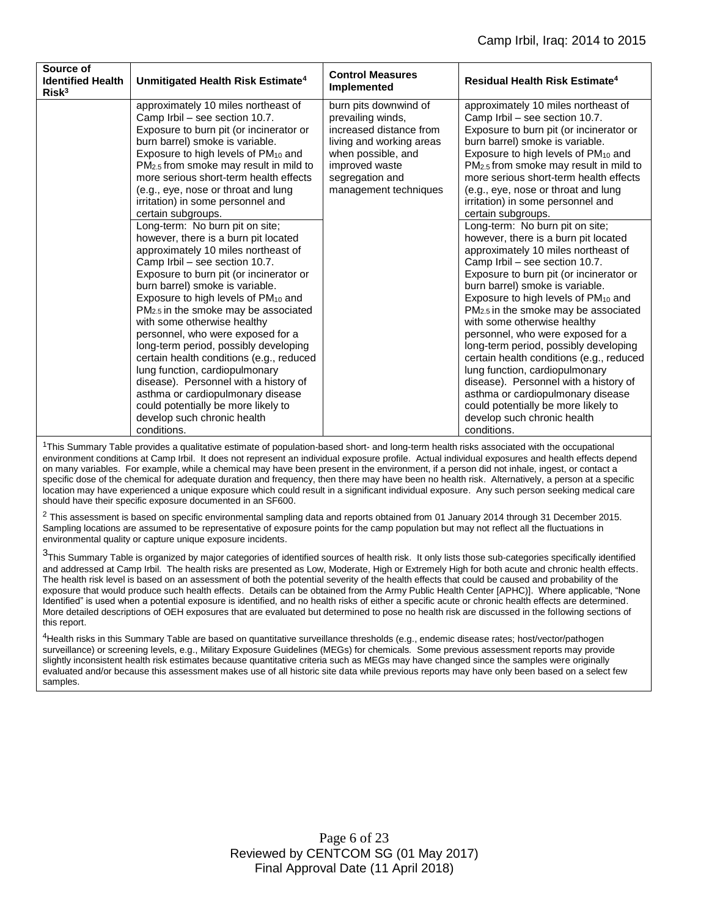| Source of<br><b>Identified Health</b><br>Risk <sup>3</sup> | Unmitigated Health Risk Estimate <sup>4</sup>                                                                                                                                                                                                                                                                                                                                                                                                                                                                                                                                                                                                                                                                                                                                                                                                                                                                                                                                                                                                           | <b>Control Measures</b><br>Implemented                                                                                                                                                | <b>Residual Health Risk Estimate<sup>4</sup></b>                                                                                                                                                                                                                                                                                                                                                                                                                                                                                                                                                                                                                                                                                                                                                                                                                                                                                                                                                                                                        |
|------------------------------------------------------------|---------------------------------------------------------------------------------------------------------------------------------------------------------------------------------------------------------------------------------------------------------------------------------------------------------------------------------------------------------------------------------------------------------------------------------------------------------------------------------------------------------------------------------------------------------------------------------------------------------------------------------------------------------------------------------------------------------------------------------------------------------------------------------------------------------------------------------------------------------------------------------------------------------------------------------------------------------------------------------------------------------------------------------------------------------|---------------------------------------------------------------------------------------------------------------------------------------------------------------------------------------|---------------------------------------------------------------------------------------------------------------------------------------------------------------------------------------------------------------------------------------------------------------------------------------------------------------------------------------------------------------------------------------------------------------------------------------------------------------------------------------------------------------------------------------------------------------------------------------------------------------------------------------------------------------------------------------------------------------------------------------------------------------------------------------------------------------------------------------------------------------------------------------------------------------------------------------------------------------------------------------------------------------------------------------------------------|
|                                                            | approximately 10 miles northeast of<br>Camp Irbil - see section 10.7.<br>Exposure to burn pit (or incinerator or<br>burn barrel) smoke is variable.<br>Exposure to high levels of PM <sub>10</sub> and<br>PM <sub>2.5</sub> from smoke may result in mild to<br>more serious short-term health effects<br>(e.g., eye, nose or throat and lung<br>irritation) in some personnel and<br>certain subgroups.<br>Long-term: No burn pit on site;<br>however, there is a burn pit located<br>approximately 10 miles northeast of<br>Camp Irbil - see section 10.7.<br>Exposure to burn pit (or incinerator or<br>burn barrel) smoke is variable.<br>Exposure to high levels of PM <sub>10</sub> and<br>$PM2.5$ in the smoke may be associated<br>with some otherwise healthy<br>personnel, who were exposed for a<br>long-term period, possibly developing<br>certain health conditions (e.g., reduced<br>lung function, cardiopulmonary<br>disease). Personnel with a history of<br>asthma or cardiopulmonary disease<br>could potentially be more likely to | burn pits downwind of<br>prevailing winds,<br>increased distance from<br>living and working areas<br>when possible, and<br>improved waste<br>segregation and<br>management techniques | approximately 10 miles northeast of<br>Camp Irbil - see section 10.7.<br>Exposure to burn pit (or incinerator or<br>burn barrel) smoke is variable.<br>Exposure to high levels of PM <sub>10</sub> and<br>PM <sub>2.5</sub> from smoke may result in mild to<br>more serious short-term health effects<br>(e.g., eye, nose or throat and lung<br>irritation) in some personnel and<br>certain subgroups.<br>Long-term: No burn pit on site;<br>however, there is a burn pit located<br>approximately 10 miles northeast of<br>Camp Irbil - see section 10.7.<br>Exposure to burn pit (or incinerator or<br>burn barrel) smoke is variable.<br>Exposure to high levels of PM <sub>10</sub> and<br>$PM2.5$ in the smoke may be associated<br>with some otherwise healthy<br>personnel, who were exposed for a<br>long-term period, possibly developing<br>certain health conditions (e.g., reduced<br>lung function, cardiopulmonary<br>disease). Personnel with a history of<br>asthma or cardiopulmonary disease<br>could potentially be more likely to |
|                                                            | develop such chronic health<br>conditions.                                                                                                                                                                                                                                                                                                                                                                                                                                                                                                                                                                                                                                                                                                                                                                                                                                                                                                                                                                                                              |                                                                                                                                                                                       | develop such chronic health<br>conditions.                                                                                                                                                                                                                                                                                                                                                                                                                                                                                                                                                                                                                                                                                                                                                                                                                                                                                                                                                                                                              |

<sup>1</sup>This Summary Table provides a qualitative estimate of population-based short- and long-term health risks associated with the occupational environment conditions at Camp Irbil. It does not represent an individual exposure profile. Actual individual exposures and health effects depend on many variables. For example, while a chemical may have been present in the environment, if a person did not inhale, ingest, or contact a specific dose of the chemical for adequate duration and frequency, then there may have been no health risk. Alternatively, a person at a specific location may have experienced a unique exposure which could result in a significant individual exposure. Any such person seeking medical care should have their specific exposure documented in an SF600.

 $2$  This assessment is based on specific environmental sampling data and reports obtained from 01 January 2014 through 31 December 2015. Sampling locations are assumed to be representative of exposure points for the camp population but may not reflect all the fluctuations in environmental quality or capture unique exposure incidents.

<sup>3</sup>This Summary Table is organized by major categories of identified sources of health risk. It only lists those sub-categories specifically identified and addressed at Camp Irbil. The health risks are presented as Low, Moderate, High or Extremely High for both acute and chronic health effects. The health risk level is based on an assessment of both the potential severity of the health effects that could be caused and probability of the exposure that would produce such health effects. Details can be obtained from the Army Public Health Center [APHC)]. Where applicable, "None Identified" is used when a potential exposure is identified, and no health risks of either a specific acute or chronic health effects are determined. More detailed descriptions of OEH exposures that are evaluated but determined to pose no health risk are discussed in the following sections of this report.

<sup>4</sup>Health risks in this Summary Table are based on quantitative surveillance thresholds (e.g., endemic disease rates; host/vector/pathogen surveillance) or screening levels, e.g., Military Exposure Guidelines (MEGs) for chemicals*.* Some previous assessment reports may provide slightly inconsistent health risk estimates because quantitative criteria such as MEGs may have changed since the samples were originally evaluated and/or because this assessment makes use of all historic site data while previous reports may have only been based on a select few samples.

> Page 6 of 23 Reviewed by CENTCOM SG (01 May 2017) Final Approval Date (11 April 2018)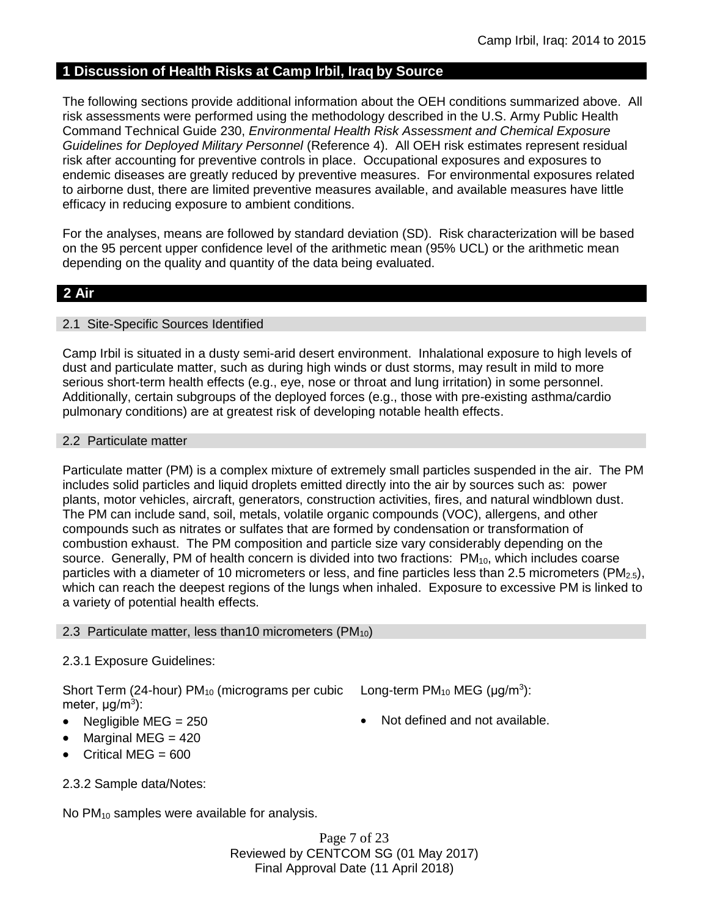# **1 Discussion of Health Risks at Camp Irbil, Iraq by Source**

The following sections provide additional information about the OEH conditions summarized above. All risk assessments were performed using the methodology described in the U.S. Army Public Health Command Technical Guide 230, *Environmental Health Risk Assessment and Chemical Exposure Guidelines for Deployed Military Personnel* (Reference 4). All OEH risk estimates represent residual risk after accounting for preventive controls in place. Occupational exposures and exposures to endemic diseases are greatly reduced by preventive measures. For environmental exposures related to airborne dust, there are limited preventive measures available, and available measures have little efficacy in reducing exposure to ambient conditions.

For the analyses, means are followed by standard deviation (SD). Risk characterization will be based on the 95 percent upper confidence level of the arithmetic mean (95% UCL) or the arithmetic mean depending on the quality and quantity of the data being evaluated.

# **2 Air**

## 2.1 Site-Specific Sources Identified

Camp Irbil is situated in a dusty semi-arid desert environment. Inhalational exposure to high levels of dust and particulate matter, such as during high winds or dust storms, may result in mild to more serious short-term health effects (e.g., eye, nose or throat and lung irritation) in some personnel. Additionally, certain subgroups of the deployed forces (e.g., those with pre-existing asthma/cardio pulmonary conditions) are at greatest risk of developing notable health effects.

## 2.2 Particulate matter

Particulate matter (PM) is a complex mixture of extremely small particles suspended in the air. The PM includes solid particles and liquid droplets emitted directly into the air by sources such as: power plants, motor vehicles, aircraft, generators, construction activities, fires, and natural windblown dust. The PM can include sand, soil, metals, volatile organic compounds (VOC), allergens, and other compounds such as nitrates or sulfates that are formed by condensation or transformation of combustion exhaust. The PM composition and particle size vary considerably depending on the source. Generally, PM of health concern is divided into two fractions:  $PM_{10}$ , which includes coarse particles with a diameter of 10 micrometers or less, and fine particles less than 2.5 micrometers ( $PM_{2.5}$ ), which can reach the deepest regions of the lungs when inhaled. Exposure to excessive PM is linked to a variety of potential health effects.

# 2.3 Particulate matter, less than 10 micrometers ( $PM_{10}$ )

# 2.3.1 Exposure Guidelines:

Short Term (24-hour)  $PM_{10}$  (micrograms per cubic Long-term  $PM_{10}$  MEG ( $\mu$ g/m<sup>3</sup>): meter, μg/m<sup>3</sup>):

- Negligible  $MEG = 250$  **Not defined and not available.**
- Marginal MEG  $= 420$
- Critical MEG  $= 600$

2.3.2 Sample data/Notes:

No  $PM_{10}$  samples were available for analysis.

Page 7 of 23 Reviewed by CENTCOM SG (01 May 2017) Final Approval Date (11 April 2018)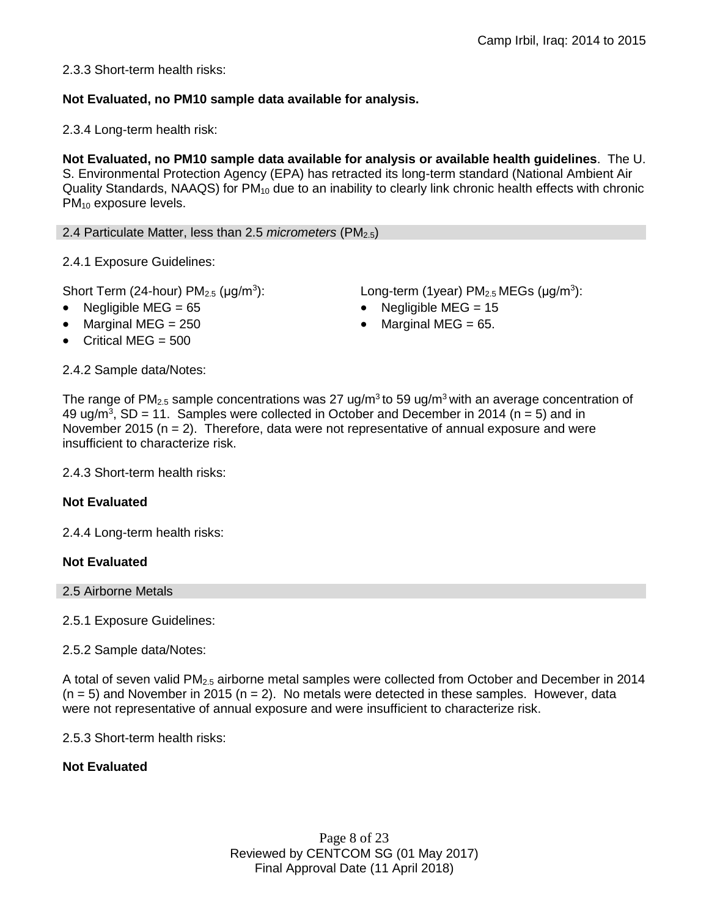2.3.3 Short-term health risks:

# **Not Evaluated, no PM10 sample data available for analysis.**

2.3.4 Long-term health risk:

**Not Evaluated, no PM10 sample data available for analysis or available health guidelines**. The U. S. Environmental Protection Agency (EPA) has retracted its long-term standard (National Ambient Air Quality Standards, NAAQS) for  $PM_{10}$  due to an inability to clearly link chronic health effects with chronic PM<sub>10</sub> exposure levels.

2.4 Particulate Matter, less than 2.5 *micrometers* (PM2.5)

2.4.1 Exposure Guidelines:

Short Term (24-hour)  $PM<sub>2.5</sub>$  ( $\mu$ g/m<sup>3</sup>):

- Negligible MEG = 65 Negligible MEG = 15
- Marginal MEG =  $250$  extended to Marginal MEG =  $65$ .
- Critical MEG  $= 500$

): Long-term (1year)  $PM_{2.5}$  MEGs ( $\mu$ g/m<sup>3</sup>):

2.4.2 Sample data/Notes:

The range of PM<sub>2.5</sub> sample concentrations was 27 ug/m<sup>3</sup> to 59 ug/m<sup>3</sup> with an average concentration of 49 ug/m<sup>3</sup>, SD = 11. Samples were collected in October and December in 2014 ( $n = 5$ ) and in November 2015 ( $n = 2$ ). Therefore, data were not representative of annual exposure and were insufficient to characterize risk.

2.4.3 Short-term health risks:

# **Not Evaluated**

2.4.4 Long-term health risks:

# **Not Evaluated**

2.5 Airborne Metals

2.5.1 Exposure Guidelines:

2.5.2 Sample data/Notes:

A total of seven valid PM2.5 airborne metal samples were collected from October and December in 2014  $(n = 5)$  and November in 2015  $(n = 2)$ . No metals were detected in these samples. However, data were not representative of annual exposure and were insufficient to characterize risk.

2.5.3 Short-term health risks:

# **Not Evaluated**

Page 8 of 23 Reviewed by CENTCOM SG (01 May 2017) Final Approval Date (11 April 2018)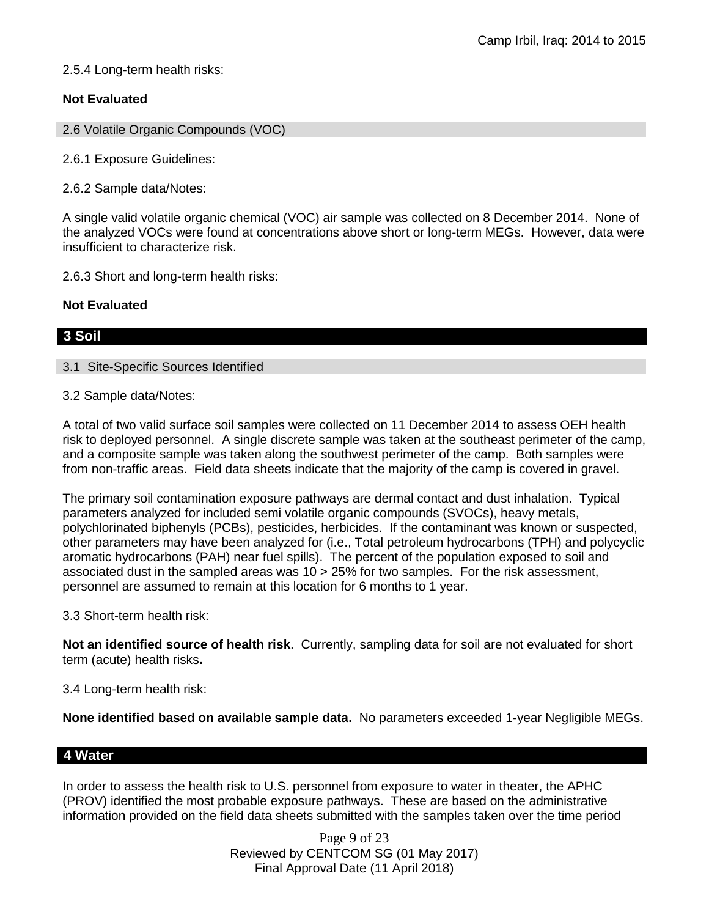2.5.4 Long-term health risks:

# **Not Evaluated**

2.6 Volatile Organic Compounds (VOC)

2.6.1 Exposure Guidelines:

2.6.2 Sample data/Notes:

A single valid volatile organic chemical (VOC) air sample was collected on 8 December 2014. None of the analyzed VOCs were found at concentrations above short or long-term MEGs. However, data were insufficient to characterize risk.

2.6.3 Short and long-term health risks:

## **Not Evaluated**

# **3 Soil**

## 3.1 Site-Specific Sources Identified

## 3.2 Sample data/Notes:

A total of two valid surface soil samples were collected on 11 December 2014 to assess OEH health risk to deployed personnel. A single discrete sample was taken at the southeast perimeter of the camp, and a composite sample was taken along the southwest perimeter of the camp. Both samples were from non-traffic areas. Field data sheets indicate that the majority of the camp is covered in gravel.

The primary soil contamination exposure pathways are dermal contact and dust inhalation. Typical parameters analyzed for included semi volatile organic compounds (SVOCs), heavy metals, polychlorinated biphenyls (PCBs), pesticides, herbicides. If the contaminant was known or suspected, other parameters may have been analyzed for (i.e., Total petroleum hydrocarbons (TPH) and polycyclic aromatic hydrocarbons (PAH) near fuel spills). The percent of the population exposed to soil and associated dust in the sampled areas was  $10 > 25\%$  for two samples. For the risk assessment, personnel are assumed to remain at this location for 6 months to 1 year.

## 3.3 Short-term health risk:

**Not an identified source of health risk**. Currently, sampling data for soil are not evaluated for short term (acute) health risks**.**

3.4 Long-term health risk:

**None identified based on available sample data.** No parameters exceeded 1-year Negligible MEGs.

# **4 Water**

In order to assess the health risk to U.S. personnel from exposure to water in theater, the APHC (PROV) identified the most probable exposure pathways. These are based on the administrative information provided on the field data sheets submitted with the samples taken over the time period

> Page 9 of 23 Reviewed by CENTCOM SG (01 May 2017) Final Approval Date (11 April 2018)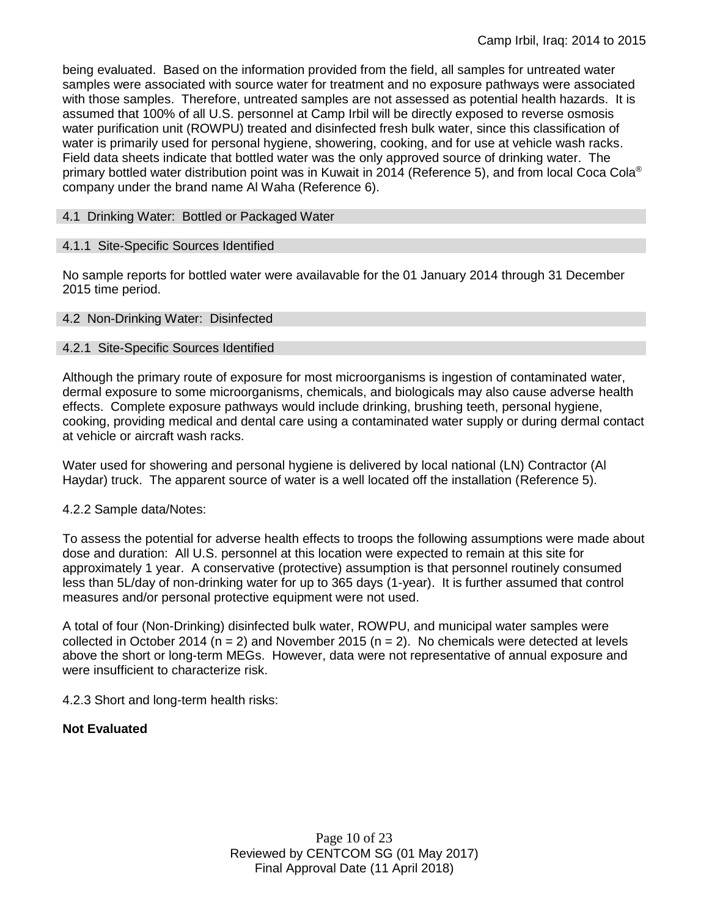being evaluated. Based on the information provided from the field, all samples for untreated water samples were associated with source water for treatment and no exposure pathways were associated with those samples. Therefore, untreated samples are not assessed as potential health hazards. It is assumed that 100% of all U.S. personnel at Camp Irbil will be directly exposed to reverse osmosis water purification unit (ROWPU) treated and disinfected fresh bulk water, since this classification of water is primarily used for personal hygiene, showering, cooking, and for use at vehicle wash racks. Field data sheets indicate that bottled water was the only approved source of drinking water. The primary bottled water distribution point was in Kuwait in 2014 (Reference 5), and from local Coca Cola® company under the brand name Al Waha (Reference 6).

## 4.1 Drinking Water: Bottled or Packaged Water

## 4.1.1 Site-Specific Sources Identified

No sample reports for bottled water were availavable for the 01 January 2014 through 31 December 2015 time period.

## 4.2 Non-Drinking Water: Disinfected

## 4.2.1 Site-Specific Sources Identified

Although the primary route of exposure for most microorganisms is ingestion of contaminated water, dermal exposure to some microorganisms, chemicals, and biologicals may also cause adverse health effects. Complete exposure pathways would include drinking, brushing teeth, personal hygiene, cooking, providing medical and dental care using a contaminated water supply or during dermal contact at vehicle or aircraft wash racks.

Water used for showering and personal hygiene is delivered by local national (LN) Contractor (Al Haydar) truck. The apparent source of water is a well located off the installation (Reference 5).

## 4.2.2 Sample data/Notes:

To assess the potential for adverse health effects to troops the following assumptions were made about dose and duration: All U.S. personnel at this location were expected to remain at this site for approximately 1 year. A conservative (protective) assumption is that personnel routinely consumed less than 5L/day of non-drinking water for up to 365 days (1-year). It is further assumed that control measures and/or personal protective equipment were not used.

A total of four (Non-Drinking) disinfected bulk water, ROWPU, and municipal water samples were collected in October 2014 ( $n = 2$ ) and November 2015 ( $n = 2$ ). No chemicals were detected at levels above the short or long-term MEGs. However, data were not representative of annual exposure and were insufficient to characterize risk.

4.2.3 Short and long-term health risks:

# **Not Evaluated**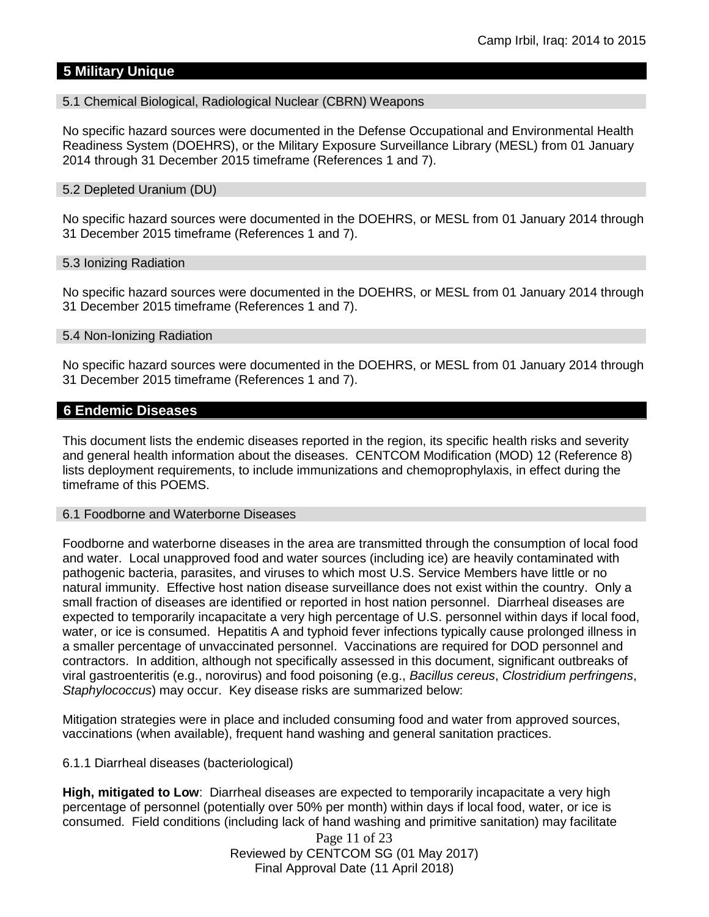# **5 Military Unique**

## 5.1 Chemical Biological, Radiological Nuclear (CBRN) Weapons

No specific hazard sources were documented in the Defense Occupational and Environmental Health Readiness System (DOEHRS), or the Military Exposure Surveillance Library (MESL) from 01 January 2014 through 31 December 2015 timeframe (References 1 and 7).

## 5.2 Depleted Uranium (DU)

No specific hazard sources were documented in the DOEHRS, or MESL from 01 January 2014 through 31 December 2015 timeframe (References 1 and 7).

## 5.3 Ionizing Radiation

No specific hazard sources were documented in the DOEHRS, or MESL from 01 January 2014 through 31 December 2015 timeframe (References 1 and 7).

## 5.4 Non-Ionizing Radiation

No specific hazard sources were documented in the DOEHRS, or MESL from 01 January 2014 through 31 December 2015 timeframe (References 1 and 7).

## **6 Endemic Diseases**

This document lists the endemic diseases reported in the region, its specific health risks and severity and general health information about the diseases. CENTCOM Modification (MOD) 12 (Reference 8) lists deployment requirements, to include immunizations and chemoprophylaxis, in effect during the timeframe of this POEMS.

## 6.1 Foodborne and Waterborne Diseases

Foodborne and waterborne diseases in the area are transmitted through the consumption of local food and water. Local unapproved food and water sources (including ice) are heavily contaminated with pathogenic bacteria, parasites, and viruses to which most U.S. Service Members have little or no natural immunity. Effective host nation disease surveillance does not exist within the country. Only a small fraction of diseases are identified or reported in host nation personnel. Diarrheal diseases are expected to temporarily incapacitate a very high percentage of U.S. personnel within days if local food, water, or ice is consumed. Hepatitis A and typhoid fever infections typically cause prolonged illness in a smaller percentage of unvaccinated personnel. Vaccinations are required for DOD personnel and contractors. In addition, although not specifically assessed in this document, significant outbreaks of viral gastroenteritis (e.g., norovirus) and food poisoning (e.g., *Bacillus cereus*, *Clostridium perfringens*, *Staphylococcus*) may occur. Key disease risks are summarized below:

Mitigation strategies were in place and included consuming food and water from approved sources, vaccinations (when available), frequent hand washing and general sanitation practices.

# 6.1.1 Diarrheal diseases (bacteriological)

**High, mitigated to Low**: Diarrheal diseases are expected to temporarily incapacitate a very high percentage of personnel (potentially over 50% per month) within days if local food, water, or ice is consumed. Field conditions (including lack of hand washing and primitive sanitation) may facilitate

> Page 11 of 23 Reviewed by CENTCOM SG (01 May 2017) Final Approval Date (11 April 2018)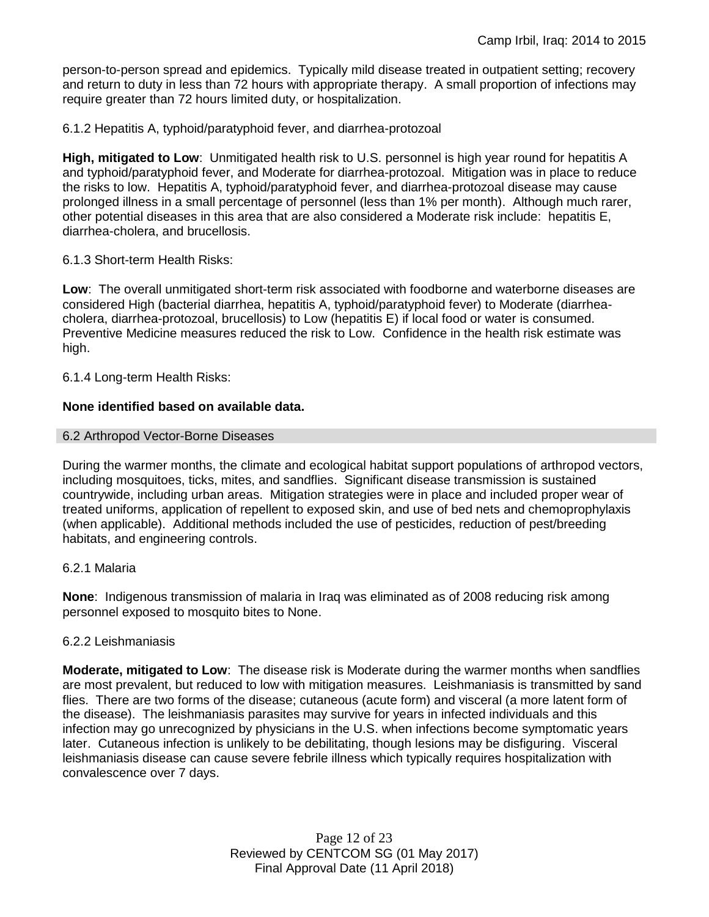person-to-person spread and epidemics. Typically mild disease treated in outpatient setting; recovery and return to duty in less than 72 hours with appropriate therapy. A small proportion of infections may require greater than 72 hours limited duty, or hospitalization.

6.1.2 Hepatitis A, typhoid/paratyphoid fever, and diarrhea-protozoal

**High, mitigated to Low**: Unmitigated health risk to U.S. personnel is high year round for hepatitis A and typhoid/paratyphoid fever, and Moderate for diarrhea-protozoal. Mitigation was in place to reduce the risks to low. Hepatitis A, typhoid/paratyphoid fever, and diarrhea-protozoal disease may cause prolonged illness in a small percentage of personnel (less than 1% per month). Although much rarer, other potential diseases in this area that are also considered a Moderate risk include: hepatitis E, diarrhea-cholera, and brucellosis.

## 6.1.3 Short-term Health Risks:

**Low**: The overall unmitigated short-term risk associated with foodborne and waterborne diseases are considered High (bacterial diarrhea, hepatitis A, typhoid/paratyphoid fever) to Moderate (diarrheacholera, diarrhea-protozoal, brucellosis) to Low (hepatitis E) if local food or water is consumed. Preventive Medicine measures reduced the risk to Low. Confidence in the health risk estimate was high.

6.1.4 Long-term Health Risks:

## **None identified based on available data.**

## 6.2 Arthropod Vector-Borne Diseases

During the warmer months, the climate and ecological habitat support populations of arthropod vectors, including mosquitoes, ticks, mites, and sandflies. Significant disease transmission is sustained countrywide, including urban areas. Mitigation strategies were in place and included proper wear of treated uniforms, application of repellent to exposed skin, and use of bed nets and chemoprophylaxis (when applicable). Additional methods included the use of pesticides, reduction of pest/breeding habitats, and engineering controls.

## 6.2.1 Malaria

**None**: Indigenous transmission of malaria in Iraq was eliminated as of 2008 reducing risk among personnel exposed to mosquito bites to None.

## 6.2.2 Leishmaniasis

**Moderate, mitigated to Low**: The disease risk is Moderate during the warmer months when sandflies are most prevalent, but reduced to low with mitigation measures. Leishmaniasis is transmitted by sand flies. There are two forms of the disease; cutaneous (acute form) and visceral (a more latent form of the disease). The leishmaniasis parasites may survive for years in infected individuals and this infection may go unrecognized by physicians in the U.S. when infections become symptomatic years later. Cutaneous infection is unlikely to be debilitating, though lesions may be disfiguring. Visceral leishmaniasis disease can cause severe febrile illness which typically requires hospitalization with convalescence over 7 days.

> Page 12 of 23 Reviewed by CENTCOM SG (01 May 2017) Final Approval Date (11 April 2018)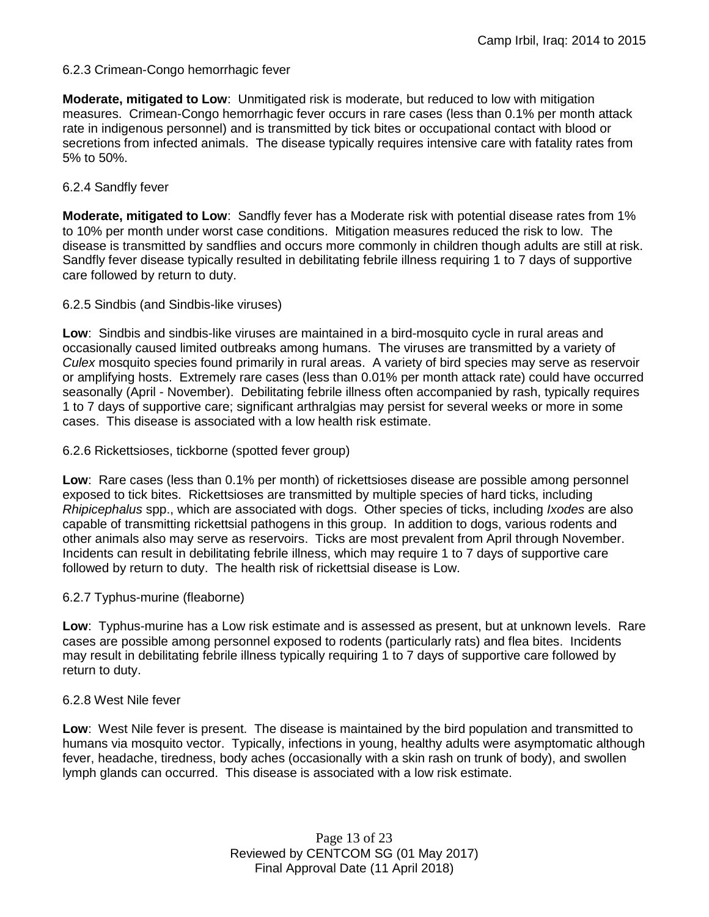# 6.2.3 Crimean-Congo hemorrhagic fever

**Moderate, mitigated to Low**: Unmitigated risk is moderate, but reduced to low with mitigation measures. Crimean-Congo hemorrhagic fever occurs in rare cases (less than 0.1% per month attack rate in indigenous personnel) and is transmitted by tick bites or occupational contact with blood or secretions from infected animals. The disease typically requires intensive care with fatality rates from 5% to 50%.

## 6.2.4 Sandfly fever

**Moderate, mitigated to Low**: Sandfly fever has a Moderate risk with potential disease rates from 1% to 10% per month under worst case conditions. Mitigation measures reduced the risk to low. The disease is transmitted by sandflies and occurs more commonly in children though adults are still at risk. Sandfly fever disease typically resulted in debilitating febrile illness requiring 1 to 7 days of supportive care followed by return to duty.

## 6.2.5 Sindbis (and Sindbis-like viruses)

**Low**: Sindbis and sindbis-like viruses are maintained in a bird-mosquito cycle in rural areas and occasionally caused limited outbreaks among humans. The viruses are transmitted by a variety of *Culex* mosquito species found primarily in rural areas. A variety of bird species may serve as reservoir or amplifying hosts. Extremely rare cases (less than 0.01% per month attack rate) could have occurred seasonally (April - November). Debilitating febrile illness often accompanied by rash, typically requires 1 to 7 days of supportive care; significant arthralgias may persist for several weeks or more in some cases. This disease is associated with a low health risk estimate.

## 6.2.6 Rickettsioses, tickborne (spotted fever group)

**Low**: Rare cases (less than 0.1% per month) of rickettsioses disease are possible among personnel exposed to tick bites. Rickettsioses are transmitted by multiple species of hard ticks, including *Rhipicephalus* spp., which are associated with dogs. Other species of ticks, including *Ixodes* are also capable of transmitting rickettsial pathogens in this group. In addition to dogs, various rodents and other animals also may serve as reservoirs. Ticks are most prevalent from April through November. Incidents can result in debilitating febrile illness, which may require 1 to 7 days of supportive care followed by return to duty. The health risk of rickettsial disease is Low.

## 6.2.7 Typhus-murine (fleaborne)

**Low**: Typhus-murine has a Low risk estimate and is assessed as present, but at unknown levels. Rare cases are possible among personnel exposed to rodents (particularly rats) and flea bites. Incidents may result in debilitating febrile illness typically requiring 1 to 7 days of supportive care followed by return to duty.

## 6.2.8 West Nile fever

**Low**: West Nile fever is present. The disease is maintained by the bird population and transmitted to humans via mosquito vector. Typically, infections in young, healthy adults were asymptomatic although fever, headache, tiredness, body aches (occasionally with a skin rash on trunk of body), and swollen lymph glands can occurred. This disease is associated with a low risk estimate.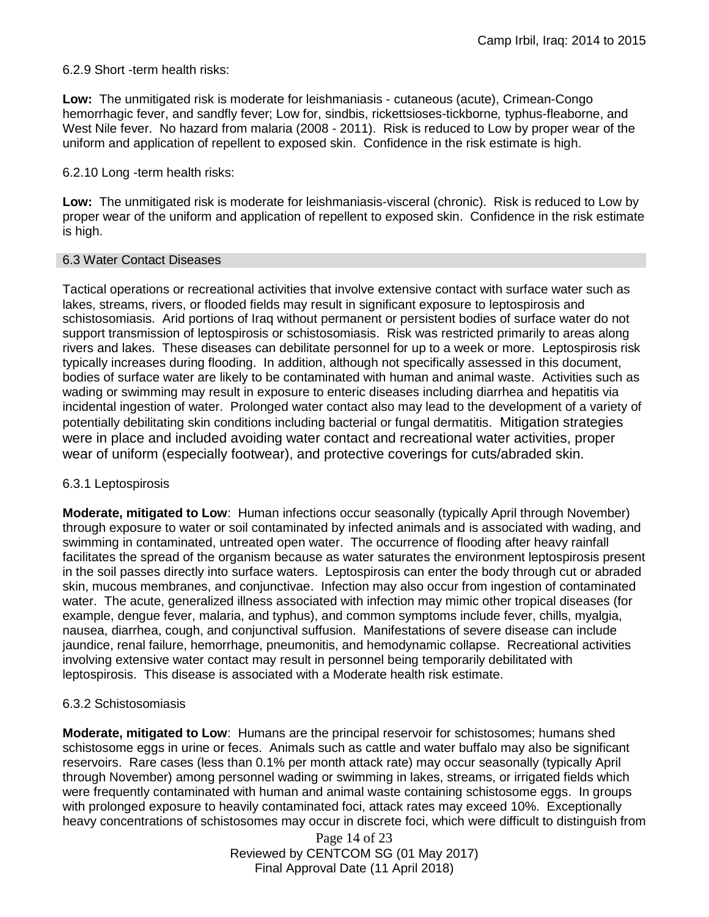6.2.9 Short -term health risks:

**Low:** The unmitigated risk is moderate for leishmaniasis - cutaneous (acute), Crimean-Congo hemorrhagic fever, and sandfly fever; Low for, sindbis, rickettsioses-tickborne*,* typhus-fleaborne, and West Nile fever. No hazard from malaria (2008 - 2011). Risk is reduced to Low by proper wear of the uniform and application of repellent to exposed skin. Confidence in the risk estimate is high.

6.2.10 Long -term health risks:

**Low:** The unmitigated risk is moderate for leishmaniasis-visceral (chronic). Risk is reduced to Low by proper wear of the uniform and application of repellent to exposed skin. Confidence in the risk estimate is high.

## 6.3 Water Contact Diseases

Tactical operations or recreational activities that involve extensive contact with surface water such as lakes, streams, rivers, or flooded fields may result in significant exposure to leptospirosis and schistosomiasis. Arid portions of Iraq without permanent or persistent bodies of surface water do not support transmission of leptospirosis or schistosomiasis. Risk was restricted primarily to areas along rivers and lakes. These diseases can debilitate personnel for up to a week or more. Leptospirosis risk typically increases during flooding. In addition, although not specifically assessed in this document, bodies of surface water are likely to be contaminated with human and animal waste. Activities such as wading or swimming may result in exposure to enteric diseases including diarrhea and hepatitis via incidental ingestion of water. Prolonged water contact also may lead to the development of a variety of potentially debilitating skin conditions including bacterial or fungal dermatitis. Mitigation strategies were in place and included avoiding water contact and recreational water activities, proper wear of uniform (especially footwear), and protective coverings for cuts/abraded skin.

# 6.3.1 Leptospirosis

**Moderate, mitigated to Low**: Human infections occur seasonally (typically April through November) through exposure to water or soil contaminated by infected animals and is associated with wading, and swimming in contaminated, untreated open water. The occurrence of flooding after heavy rainfall facilitates the spread of the organism because as water saturates the environment leptospirosis present in the soil passes directly into surface waters. Leptospirosis can enter the body through cut or abraded skin, mucous membranes, and conjunctivae. Infection may also occur from ingestion of contaminated water. The acute, generalized illness associated with infection may mimic other tropical diseases (for example, dengue fever, malaria, and typhus), and common symptoms include fever, chills, myalgia, nausea, diarrhea, cough, and conjunctival suffusion. Manifestations of severe disease can include jaundice, renal failure, hemorrhage, pneumonitis, and hemodynamic collapse. Recreational activities involving extensive water contact may result in personnel being temporarily debilitated with leptospirosis. This disease is associated with a Moderate health risk estimate.

# 6.3.2 Schistosomiasis

**Moderate, mitigated to Low**: Humans are the principal reservoir for schistosomes; humans shed schistosome eggs in urine or feces. Animals such as cattle and water buffalo may also be significant reservoirs. Rare cases (less than 0.1% per month attack rate) may occur seasonally (typically April through November) among personnel wading or swimming in lakes, streams, or irrigated fields which were frequently contaminated with human and animal waste containing schistosome eggs. In groups with prolonged exposure to heavily contaminated foci, attack rates may exceed 10%. Exceptionally heavy concentrations of schistosomes may occur in discrete foci, which were difficult to distinguish from

> Page 14 of 23 Reviewed by CENTCOM SG (01 May 2017) Final Approval Date (11 April 2018)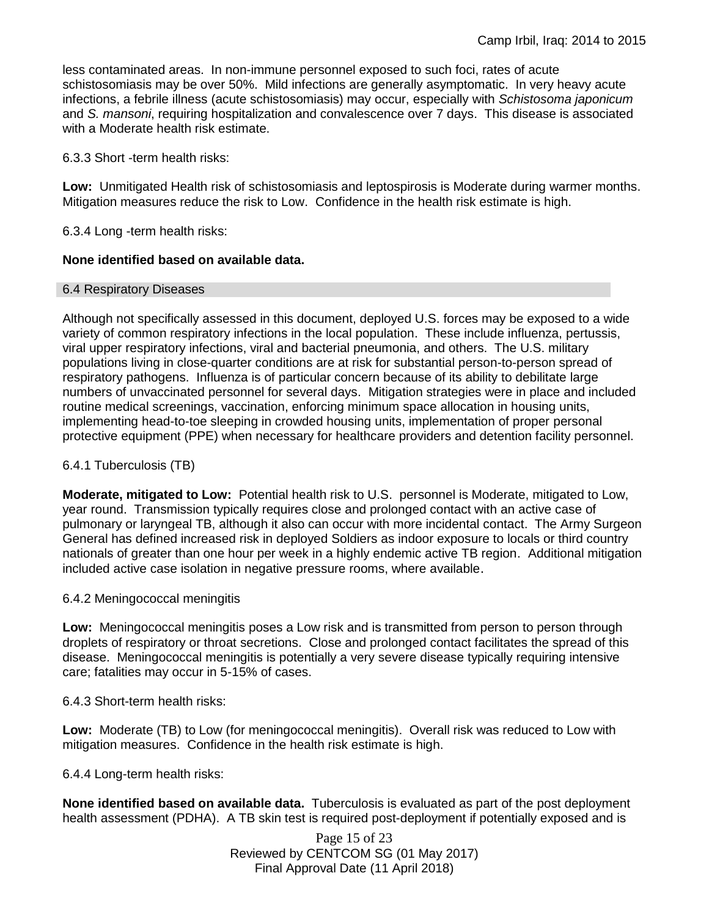less contaminated areas. In non-immune personnel exposed to such foci, rates of acute schistosomiasis may be over 50%. Mild infections are generally asymptomatic. In very heavy acute infections, a febrile illness (acute schistosomiasis) may occur, especially with *Schistosoma japonicum*  and *S. mansoni*, requiring hospitalization and convalescence over 7 days. This disease is associated with a Moderate health risk estimate.

6.3.3 Short -term health risks:

**Low:** Unmitigated Health risk of schistosomiasis and leptospirosis is Moderate during warmer months. Mitigation measures reduce the risk to Low. Confidence in the health risk estimate is high.

6.3.4 Long -term health risks:

## **None identified based on available data.**

## 6.4 Respiratory Diseases

Although not specifically assessed in this document, deployed U.S. forces may be exposed to a wide variety of common respiratory infections in the local population. These include influenza, pertussis, viral upper respiratory infections, viral and bacterial pneumonia, and others. The U.S. military populations living in close-quarter conditions are at risk for substantial person-to-person spread of respiratory pathogens. Influenza is of particular concern because of its ability to debilitate large numbers of unvaccinated personnel for several days. Mitigation strategies were in place and included routine medical screenings, vaccination, enforcing minimum space allocation in housing units, implementing head-to-toe sleeping in crowded housing units, implementation of proper personal protective equipment (PPE) when necessary for healthcare providers and detention facility personnel.

## 6.4.1 Tuberculosis (TB)

**Moderate, mitigated to Low:** Potential health risk to U.S. personnel is Moderate, mitigated to Low, year round. Transmission typically requires close and prolonged contact with an active case of pulmonary or laryngeal TB, although it also can occur with more incidental contact. The Army Surgeon General has defined increased risk in deployed Soldiers as indoor exposure to locals or third country nationals of greater than one hour per week in a highly endemic active TB region. Additional mitigation included active case isolation in negative pressure rooms, where available.

## 6.4.2 Meningococcal meningitis

**Low:** Meningococcal meningitis poses a Low risk and is transmitted from person to person through droplets of respiratory or throat secretions. Close and prolonged contact facilitates the spread of this disease. Meningococcal meningitis is potentially a very severe disease typically requiring intensive care; fatalities may occur in 5-15% of cases.

6.4.3 Short-term health risks:

**Low:** Moderate (TB) to Low (for meningococcal meningitis). Overall risk was reduced to Low with mitigation measures. Confidence in the health risk estimate is high.

6.4.4 Long-term health risks:

**None identified based on available data.** Tuberculosis is evaluated as part of the post deployment health assessment (PDHA). A TB skin test is required post-deployment if potentially exposed and is

> Page 15 of 23 Reviewed by CENTCOM SG (01 May 2017) Final Approval Date (11 April 2018)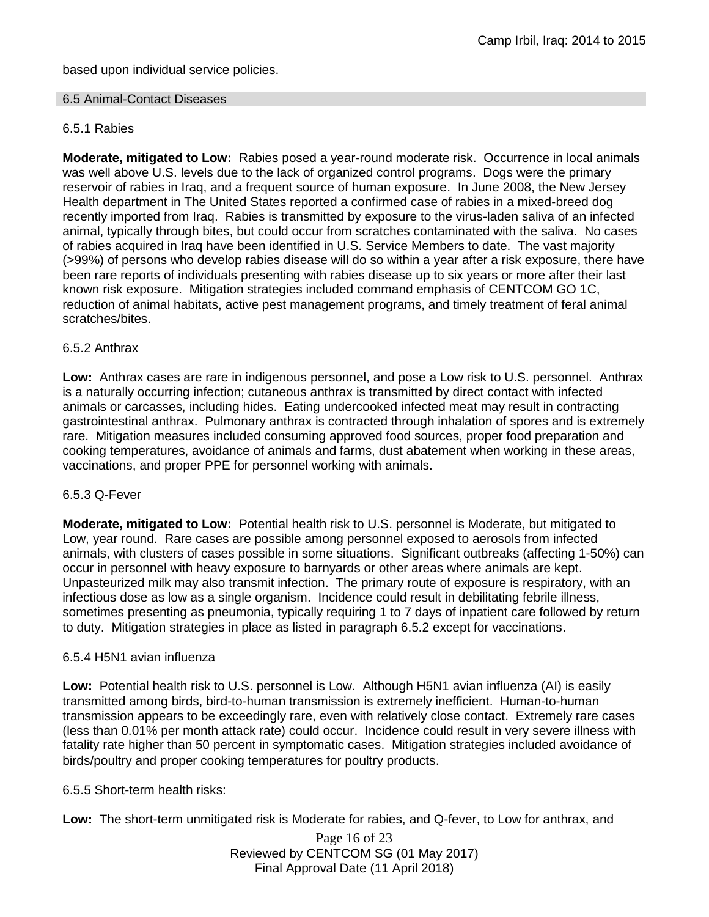based upon individual service policies.

## 6.5 Animal-Contact Diseases

# 6.5.1 Rabies

**Moderate, mitigated to Low:** Rabies posed a year-round moderate risk. Occurrence in local animals was well above U.S. levels due to the lack of organized control programs. Dogs were the primary reservoir of rabies in Iraq, and a frequent source of human exposure. In June 2008, the New Jersey Health department in The United States reported a confirmed case of rabies in a mixed-breed dog recently imported from Iraq. Rabies is transmitted by exposure to the virus-laden saliva of an infected animal, typically through bites, but could occur from scratches contaminated with the saliva. No cases of rabies acquired in Iraq have been identified in U.S. Service Members to date. The vast majority (>99%) of persons who develop rabies disease will do so within a year after a risk exposure, there have been rare reports of individuals presenting with rabies disease up to six years or more after their last known risk exposure. Mitigation strategies included command emphasis of CENTCOM GO 1C, reduction of animal habitats, active pest management programs, and timely treatment of feral animal scratches/bites.

## 6.5.2 Anthrax

**Low:** Anthrax cases are rare in indigenous personnel, and pose a Low risk to U.S. personnel. Anthrax is a naturally occurring infection; cutaneous anthrax is transmitted by direct contact with infected animals or carcasses, including hides. Eating undercooked infected meat may result in contracting gastrointestinal anthrax. Pulmonary anthrax is contracted through inhalation of spores and is extremely rare. Mitigation measures included consuming approved food sources, proper food preparation and cooking temperatures, avoidance of animals and farms, dust abatement when working in these areas, vaccinations, and proper PPE for personnel working with animals.

## 6.5.3 Q-Fever

**Moderate, mitigated to Low:** Potential health risk to U.S. personnel is Moderate, but mitigated to Low, year round. Rare cases are possible among personnel exposed to aerosols from infected animals, with clusters of cases possible in some situations. Significant outbreaks (affecting 1-50%) can occur in personnel with heavy exposure to barnyards or other areas where animals are kept. Unpasteurized milk may also transmit infection. The primary route of exposure is respiratory, with an infectious dose as low as a single organism. Incidence could result in debilitating febrile illness, sometimes presenting as pneumonia, typically requiring 1 to 7 days of inpatient care followed by return to duty. Mitigation strategies in place as listed in paragraph 6.5.2 except for vaccinations.

## 6.5.4 H5N1 avian influenza

**Low:** Potential health risk to U.S. personnel is Low. Although H5N1 avian influenza (AI) is easily transmitted among birds, bird-to-human transmission is extremely inefficient. Human-to-human transmission appears to be exceedingly rare, even with relatively close contact. Extremely rare cases (less than 0.01% per month attack rate) could occur. Incidence could result in very severe illness with fatality rate higher than 50 percent in symptomatic cases. Mitigation strategies included avoidance of birds/poultry and proper cooking temperatures for poultry products.

6.5.5 Short-term health risks:

**Low:** The short-term unmitigated risk is Moderate for rabies, and Q-fever, to Low for anthrax, and

Page 16 of 23 Reviewed by CENTCOM SG (01 May 2017) Final Approval Date (11 April 2018)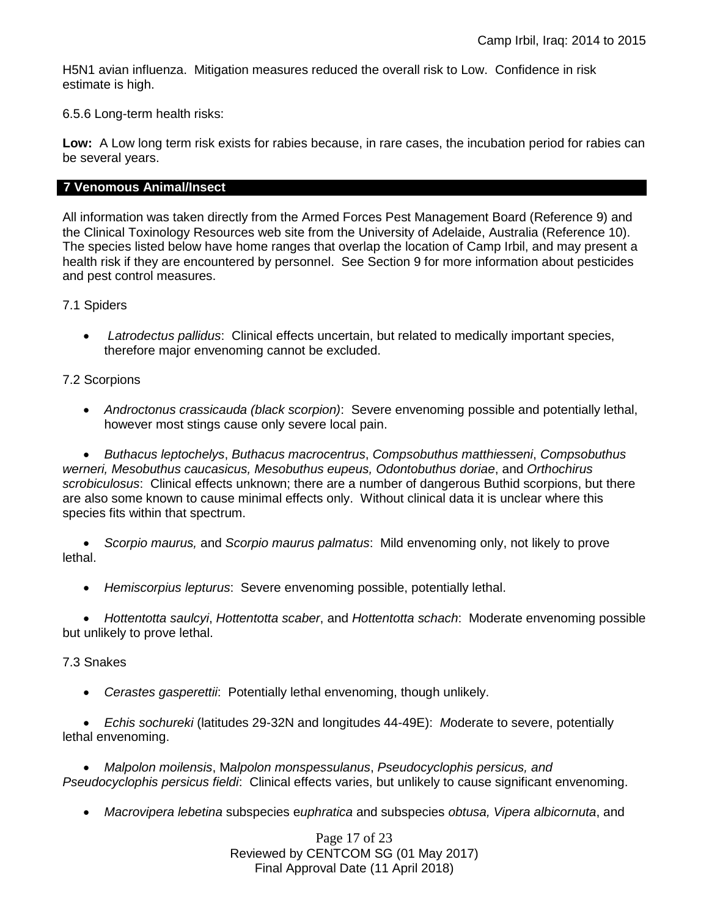H5N1 avian influenza. Mitigation measures reduced the overall risk to Low. Confidence in risk estimate is high.

6.5.6 Long-term health risks:

**Low:** A Low long term risk exists for rabies because, in rare cases, the incubation period for rabies can be several years.

## **7 Venomous Animal/Insect**

All information was taken directly from the Armed Forces Pest Management Board (Reference 9) and the Clinical Toxinology Resources web site from the University of Adelaide, Australia (Reference 10). The species listed below have home ranges that overlap the location of Camp Irbil, and may present a health risk if they are encountered by personnel. See Section 9 for more information about pesticides and pest control measures.

7.1 Spiders

 *Latrodectus pallidus*: Clinical effects uncertain, but related to medically important species, therefore major envenoming cannot be excluded.

7.2 Scorpions

 *Androctonus crassicauda (black scorpion)*:Severe envenoming possible and potentially lethal, however most stings cause only severe local pain.

 *Buthacus leptochelys*, *Buthacus macrocentrus*, *Compsobuthus matthiesseni*, *Compsobuthus werneri, Mesobuthus caucasicus, Mesobuthus eupeus, Odontobuthus doriae*, and *Orthochirus scrobiculosus*: Clinical effects unknown; there are a number of dangerous Buthid scorpions, but there are also some known to cause minimal effects only. Without clinical data it is unclear where this species fits within that spectrum.

 *Scorpio maurus,* and *Scorpio maurus palmatus*: Mild envenoming only, not likely to prove lethal.

*Hemiscorpius lepturus*: Severe envenoming possible, potentially lethal.

 *Hottentotta saulcyi*, *Hottentotta scaber*, and *Hottentotta schach*: Moderate envenoming possible but unlikely to prove lethal.

## 7.3 Snakes

*Cerastes gasperettii*: Potentially lethal envenoming, though unlikely.

 *Echis sochureki* (latitudes 29-32N and longitudes 44-49E): *M*oderate to severe, potentially lethal envenoming.

 *Malpolon moilensis*, M*alpolon monspessulanus*, *Pseudocyclophis persicus, and Pseudocyclophis persicus fieldi*: Clinical effects varies, but unlikely to cause significant envenoming.

*Macrovipera lebetina* subspecies e*uphratica* and subspecies *obtusa, Vipera albicornuta*, and

Page 17 of 23 Reviewed by CENTCOM SG (01 May 2017) Final Approval Date (11 April 2018)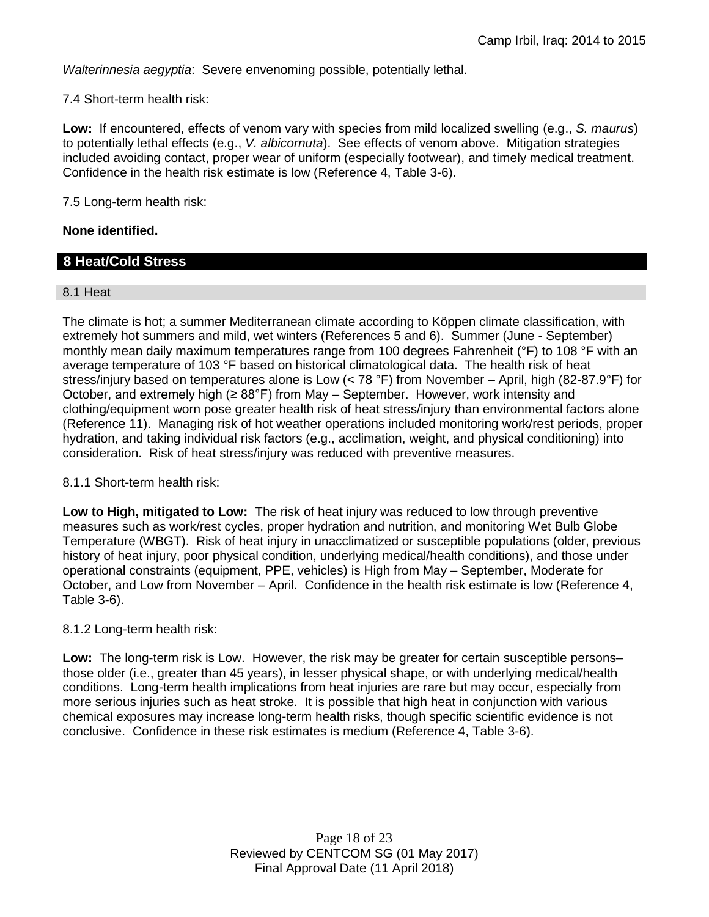*Walterinnesia aegyptia*: Severe envenoming possible, potentially lethal.

7.4 Short-term health risk:

**Low:** If encountered, effects of venom vary with species from mild localized swelling (e.g., *S. maurus*) to potentially lethal effects (e.g., *V. albicornuta*). See effects of venom above. Mitigation strategies included avoiding contact, proper wear of uniform (especially footwear), and timely medical treatment. Confidence in the health risk estimate is low (Reference 4, Table 3-6).

7.5 Long-term health risk:

## **None identified.**

# **8 Heat/Cold Stress**

## 8.1 Heat

The climate is hot; a summer Mediterranean climate according to Köppen climate classification, with extremely hot summers and mild, wet winters (References 5 and 6). Summer (June - September) monthly mean daily maximum temperatures range from 100 degrees Fahrenheit (°F) to 108 °F with an average temperature of 103 °F based on historical climatological data. The health risk of heat stress/injury based on temperatures alone is Low (< 78 °F) from November – April, high (82-87.9°F) for October, and extremely high ( $\geq 88^{\circ}$ F) from May – September. However, work intensity and clothing/equipment worn pose greater health risk of heat stress/injury than environmental factors alone (Reference 11). Managing risk of hot weather operations included monitoring work/rest periods, proper hydration, and taking individual risk factors (e.g., acclimation, weight, and physical conditioning) into consideration. Risk of heat stress/injury was reduced with preventive measures.

## 8.1.1 Short-term health risk:

**Low to High, mitigated to Low:** The risk of heat injury was reduced to low through preventive measures such as work/rest cycles, proper hydration and nutrition, and monitoring Wet Bulb Globe Temperature (WBGT). Risk of heat injury in unacclimatized or susceptible populations (older, previous history of heat injury, poor physical condition, underlying medical/health conditions), and those under operational constraints (equipment, PPE, vehicles) is High from May – September, Moderate for October, and Low from November – April. Confidence in the health risk estimate is low (Reference 4, Table 3-6).

## 8.1.2 Long-term health risk:

**Low:** The long-term risk is Low. However, the risk may be greater for certain susceptible persons– those older (i.e., greater than 45 years), in lesser physical shape, or with underlying medical/health conditions. Long-term health implications from heat injuries are rare but may occur, especially from more serious injuries such as heat stroke. It is possible that high heat in conjunction with various chemical exposures may increase long-term health risks, though specific scientific evidence is not conclusive. Confidence in these risk estimates is medium (Reference 4, Table 3-6).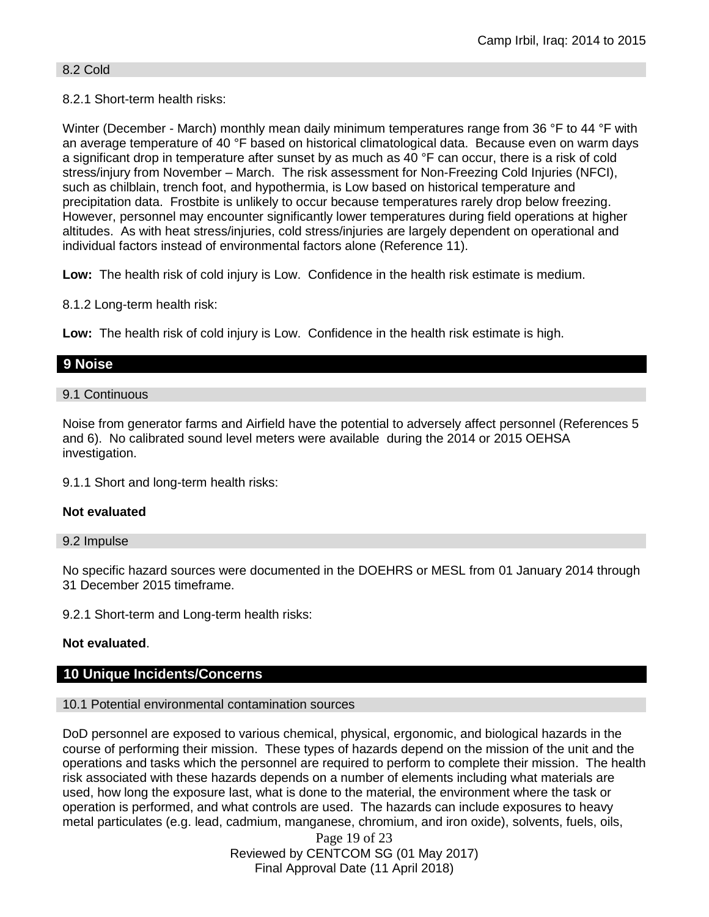## 8.2 Cold

# 8.2.1 Short-term health risks:

Winter (December - March) monthly mean daily minimum temperatures range from 36 °F to 44 °F with an average temperature of 40 °F based on historical climatological data. Because even on warm days a significant drop in temperature after sunset by as much as 40 °F can occur, there is a risk of cold stress/injury from November – March. The risk assessment for Non-Freezing Cold Injuries (NFCI), such as chilblain, trench foot, and hypothermia, is Low based on historical temperature and precipitation data. Frostbite is unlikely to occur because temperatures rarely drop below freezing. However, personnel may encounter significantly lower temperatures during field operations at higher altitudes. As with heat stress/injuries, cold stress/injuries are largely dependent on operational and individual factors instead of environmental factors alone (Reference 11).

**Low:** The health risk of cold injury is Low. Confidence in the health risk estimate is medium.

8.1.2 Long-term health risk:

**Low:** The health risk of cold injury is Low. Confidence in the health risk estimate is high.

# **9 Noise**

## 9.1 Continuous

Noise from generator farms and Airfield have the potential to adversely affect personnel (References 5 and 6). No calibrated sound level meters were available during the 2014 or 2015 OEHSA investigation.

9.1.1 Short and long-term health risks:

# **Not evaluated**

## 9.2 Impulse

No specific hazard sources were documented in the DOEHRS or MESL from 01 January 2014 through 31 December 2015 timeframe.

9.2.1 Short-term and Long-term health risks:

# **Not evaluated**.

# **10 Unique Incidents/Concerns**

## 10.1 Potential environmental contamination sources

DoD personnel are exposed to various chemical, physical, ergonomic, and biological hazards in the course of performing their mission. These types of hazards depend on the mission of the unit and the operations and tasks which the personnel are required to perform to complete their mission. The health risk associated with these hazards depends on a number of elements including what materials are used, how long the exposure last, what is done to the material, the environment where the task or operation is performed, and what controls are used. The hazards can include exposures to heavy metal particulates (e.g. lead, cadmium, manganese, chromium, and iron oxide), solvents, fuels, oils,

> Page 19 of 23 Reviewed by CENTCOM SG (01 May 2017) Final Approval Date (11 April 2018)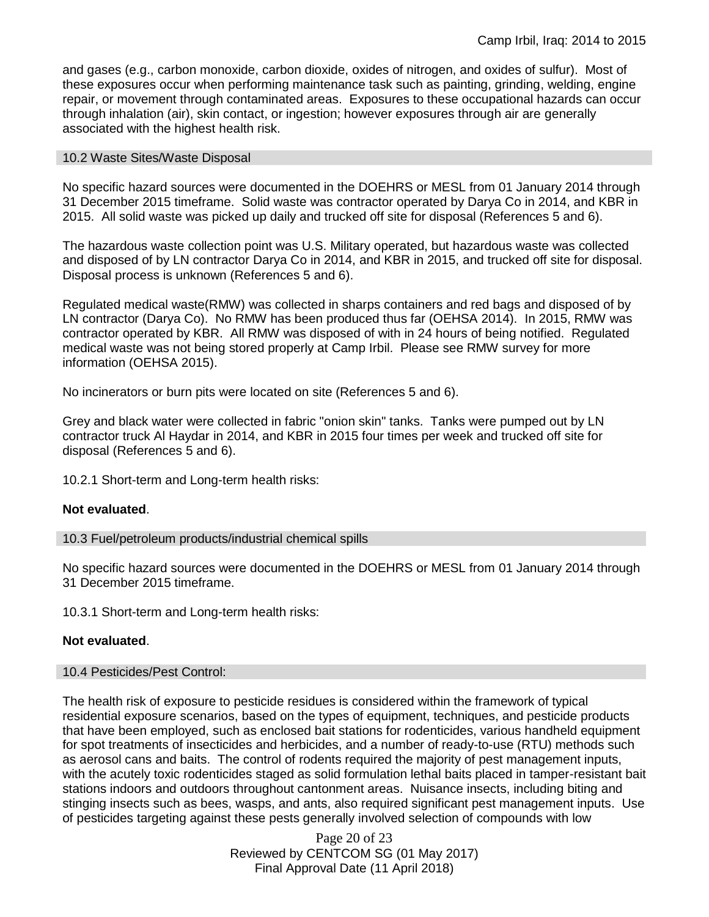and gases (e.g., carbon monoxide, carbon dioxide, oxides of nitrogen, and oxides of sulfur). Most of these exposures occur when performing maintenance task such as painting, grinding, welding, engine repair, or movement through contaminated areas. Exposures to these occupational hazards can occur through inhalation (air), skin contact, or ingestion; however exposures through air are generally associated with the highest health risk.

#### 10.2 Waste Sites/Waste Disposal

No specific hazard sources were documented in the DOEHRS or MESL from 01 January 2014 through 31 December 2015 timeframe. Solid waste was contractor operated by Darya Co in 2014, and KBR in 2015. All solid waste was picked up daily and trucked off site for disposal (References 5 and 6).

The hazardous waste collection point was U.S. Military operated, but hazardous waste was collected and disposed of by LN contractor Darya Co in 2014, and KBR in 2015, and trucked off site for disposal. Disposal process is unknown (References 5 and 6).

Regulated medical waste(RMW) was collected in sharps containers and red bags and disposed of by LN contractor (Darya Co). No RMW has been produced thus far (OEHSA 2014). In 2015, RMW was contractor operated by KBR. All RMW was disposed of with in 24 hours of being notified. Regulated medical waste was not being stored properly at Camp Irbil. Please see RMW survey for more information (OEHSA 2015).

No incinerators or burn pits were located on site (References 5 and 6).

Grey and black water were collected in fabric "onion skin" tanks. Tanks were pumped out by LN contractor truck Al Haydar in 2014, and KBR in 2015 four times per week and trucked off site for disposal (References 5 and 6).

10.2.1 Short-term and Long-term health risks:

## **Not evaluated**.

10.3 Fuel/petroleum products/industrial chemical spills

No specific hazard sources were documented in the DOEHRS or MESL from 01 January 2014 through 31 December 2015 timeframe.

10.3.1 Short-term and Long-term health risks:

## **Not evaluated**.

## 10.4 Pesticides/Pest Control:

The health risk of exposure to pesticide residues is considered within the framework of typical residential exposure scenarios, based on the types of equipment, techniques, and pesticide products that have been employed, such as enclosed bait stations for rodenticides, various handheld equipment for spot treatments of insecticides and herbicides, and a number of ready-to-use (RTU) methods such as aerosol cans and baits. The control of rodents required the majority of pest management inputs, with the acutely toxic rodenticides staged as solid formulation lethal baits placed in tamper-resistant bait stations indoors and outdoors throughout cantonment areas. Nuisance insects, including biting and stinging insects such as bees, wasps, and ants, also required significant pest management inputs. Use of pesticides targeting against these pests generally involved selection of compounds with low

> Page 20 of 23 Reviewed by CENTCOM SG (01 May 2017) Final Approval Date (11 April 2018)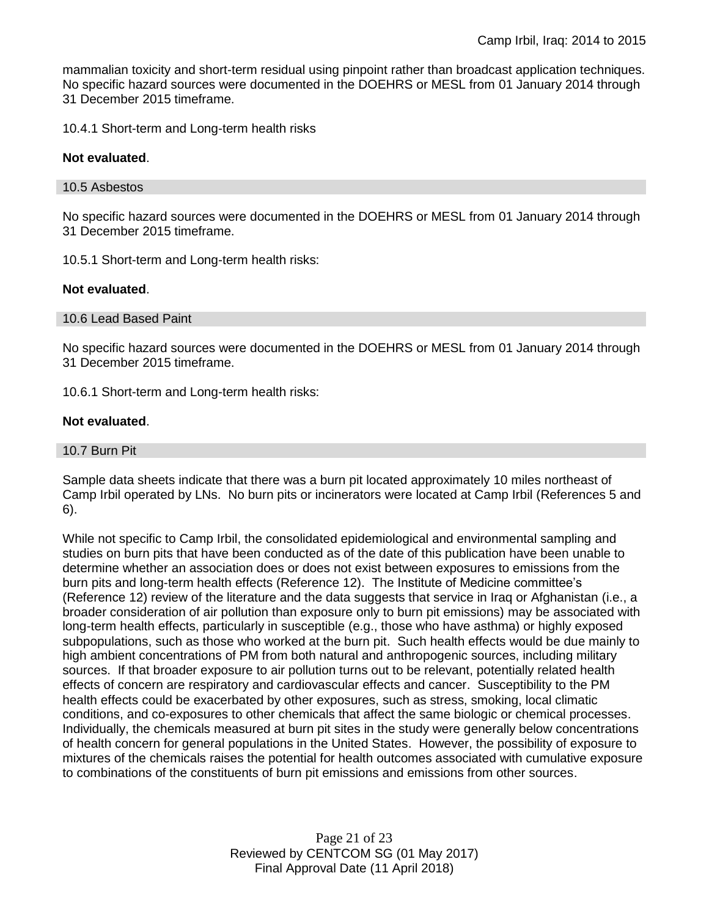mammalian toxicity and short-term residual using pinpoint rather than broadcast application techniques. No specific hazard sources were documented in the DOEHRS or MESL from 01 January 2014 through 31 December 2015 timeframe.

10.4.1 Short-term and Long-term health risks

#### **Not evaluated**.

#### 10.5 Asbestos

No specific hazard sources were documented in the DOEHRS or MESL from 01 January 2014 through 31 December 2015 timeframe.

10.5.1 Short-term and Long-term health risks:

#### **Not evaluated**.

#### 10.6 Lead Based Paint

No specific hazard sources were documented in the DOEHRS or MESL from 01 January 2014 through 31 December 2015 timeframe.

10.6.1 Short-term and Long-term health risks:

#### **Not evaluated**.

10.7 Burn Pit

Sample data sheets indicate that there was a burn pit located approximately 10 miles northeast of Camp Irbil operated by LNs. No burn pits or incinerators were located at Camp Irbil (References 5 and 6).

While not specific to Camp Irbil, the consolidated epidemiological and environmental sampling and studies on burn pits that have been conducted as of the date of this publication have been unable to determine whether an association does or does not exist between exposures to emissions from the burn pits and long-term health effects (Reference 12). The Institute of Medicine committee's (Reference 12) review of the literature and the data suggests that service in Iraq or Afghanistan (i.e., a broader consideration of air pollution than exposure only to burn pit emissions) may be associated with long-term health effects, particularly in susceptible (e.g., those who have asthma) or highly exposed subpopulations, such as those who worked at the burn pit. Such health effects would be due mainly to high ambient concentrations of PM from both natural and anthropogenic sources, including military sources. If that broader exposure to air pollution turns out to be relevant, potentially related health effects of concern are respiratory and cardiovascular effects and cancer. Susceptibility to the PM health effects could be exacerbated by other exposures, such as stress, smoking, local climatic conditions, and co-exposures to other chemicals that affect the same biologic or chemical processes. Individually, the chemicals measured at burn pit sites in the study were generally below concentrations of health concern for general populations in the United States. However, the possibility of exposure to mixtures of the chemicals raises the potential for health outcomes associated with cumulative exposure to combinations of the constituents of burn pit emissions and emissions from other sources.

> Page 21 of 23 Reviewed by CENTCOM SG (01 May 2017) Final Approval Date (11 April 2018)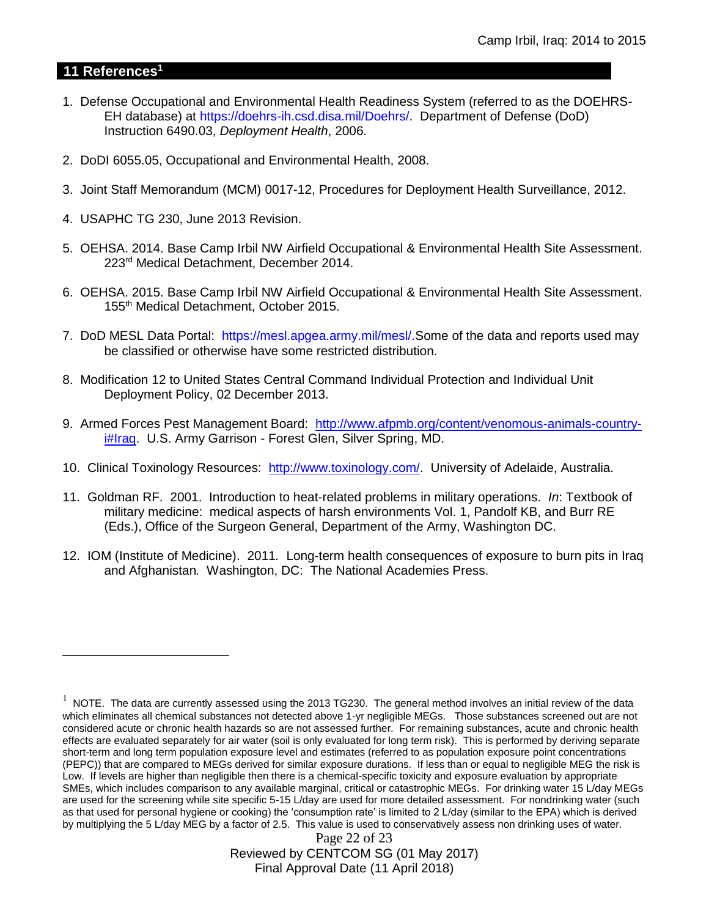# **11 References<sup>1</sup>**

 $\overline{a}$ 

- 1. Defense Occupational and Environmental Health Readiness System (referred to as the DOEHRS-EH database) at https://doehrs-ih.csd.disa.mil/Doehrs/. Department of Defense (DoD) Instruction 6490.03, *Deployment Health*, 2006.
- 2. DoDI 6055.05, Occupational and Environmental Health, 2008.
- 3. Joint Staff Memorandum (MCM) 0017-12, Procedures for Deployment Health Surveillance, 2012.
- 4. USAPHC TG 230, June 2013 Revision.
- 5. OEHSA. 2014. Base Camp Irbil NW Airfield Occupational & Environmental Health Site Assessment. 223rd Medical Detachment, December 2014.
- 6. OEHSA. 2015. Base Camp Irbil NW Airfield Occupational & Environmental Health Site Assessment. 155th Medical Detachment, October 2015.
- 7. DoD MESL Data Portal: https://mesl.apgea.army.mil/mesl/.Some of the data and reports used may be classified or otherwise have some restricted distribution.
- 8. Modification 12 to United States Central Command Individual Protection and Individual Unit Deployment Policy, 02 December 2013.
- 9. Armed Forces Pest Management Board: [http://www.afpmb.org/content/venomous-animals-country](http://www.afpmb.org/content/venomous-animals-country-i#Iraq)[i#Iraq.](http://www.afpmb.org/content/venomous-animals-country-i#Iraq) U.S. Army Garrison - Forest Glen, Silver Spring, MD.
- 10. Clinical Toxinology Resources: [http://www.toxinology.com/.](http://www.toxinology.com/) University of Adelaide, Australia.
- 11. Goldman RF. 2001. Introduction to heat-related problems in military operations. *In*: Textbook of military medicine: medical aspects of harsh environments Vol. 1, Pandolf KB, and Burr RE (Eds.), Office of the Surgeon General, Department of the Army, Washington DC.
- 12. IOM (Institute of Medicine). 2011*.* Long-term health consequences of exposure to burn pits in Iraq and Afghanistan*.* Washington, DC: The National Academies Press.

Page 22 of 23 Reviewed by CENTCOM SG (01 May 2017) Final Approval Date (11 April 2018)

 $1$  NOTE. The data are currently assessed using the 2013 TG230. The general method involves an initial review of the data which eliminates all chemical substances not detected above 1-yr negligible MEGs. Those substances screened out are not considered acute or chronic health hazards so are not assessed further. For remaining substances, acute and chronic health effects are evaluated separately for air water (soil is only evaluated for long term risk). This is performed by deriving separate short-term and long term population exposure level and estimates (referred to as population exposure point concentrations (PEPC)) that are compared to MEGs derived for similar exposure durations. If less than or equal to negligible MEG the risk is Low. If levels are higher than negligible then there is a chemical-specific toxicity and exposure evaluation by appropriate SMEs, which includes comparison to any available marginal, critical or catastrophic MEGs. For drinking water 15 L/day MEGs are used for the screening while site specific 5-15 L/day are used for more detailed assessment. For nondrinking water (such as that used for personal hygiene or cooking) the 'consumption rate' is limited to 2 L/day (similar to the EPA) which is derived by multiplying the 5 L/day MEG by a factor of 2.5. This value is used to conservatively assess non drinking uses of water.